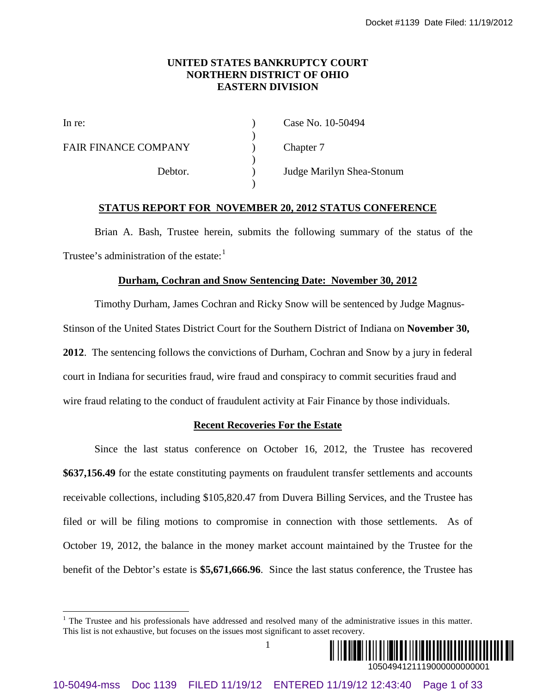### **UNITED STATES BANKRUPTCY COURT NORTHERN DISTRICT OF OHIO EASTERN DIVISION**

)

)

)

FAIR FINANCE COMPANY (a) Chapter 7

In re: (a) Case No. 10-50494

Debtor. ) Judge Marilyn Shea-Stonum

#### **STATUS REPORT FOR NOVEMBER 20, 2012 STATUS CONFERENCE**

Brian A. Bash, Trustee herein, submits the following summary of the status of the Trustee's administration of the estate:<sup>[1](#page-0-0)</sup>

#### **Durham, Cochran and Snow Sentencing Date: November 30, 2012**

Timothy Durham, James Cochran and Ricky Snow will be sentenced by Judge Magnus-Stinson of the United States District Court for the Southern District of Indiana on **November 30, 2012**. The sentencing follows the convictions of Durham, Cochran and Snow by a jury in federal court in Indiana for securities fraud, wire fraud and conspiracy to commit securities fraud and wire fraud relating to the conduct of fraudulent activity at Fair Finance by those individuals.

#### **Recent Recoveries For the Estate**

Since the last status conference on October 16, 2012, the Trustee has recovered **\$637,156.49** for the estate constituting payments on fraudulent transfer settlements and accounts receivable collections, including \$105,820.47 from Duvera Billing Services, and the Trustee has filed or will be filing motions to compromise in connection with those settlements. As of October 19, 2012, the balance in the money market account maintained by the Trustee for the benefit of the Debtor's estate is **\$5,671,666.96**. Since the last status conference, the Trustee has **EXERT OR SUATER SUATRICE CONDENT CV COVENANT CV CONDENT WAS TRUSTED INTO THE CONDENTATION CONDENT COMPARENT (SECTION PORTOR TO A CHE THE CONDENTATION CONDENTATION CONDENTATION CONDENT (SECTION PORTOR TO A USE 1 of 33 °CH** 

1



<span id="page-0-0"></span><sup>&</sup>lt;sup>1</sup> The Trustee and his professionals have addressed and resolved many of the administrative issues in this matter. This list is not exhaustive, but focuses on the issues most significant to asset recovery.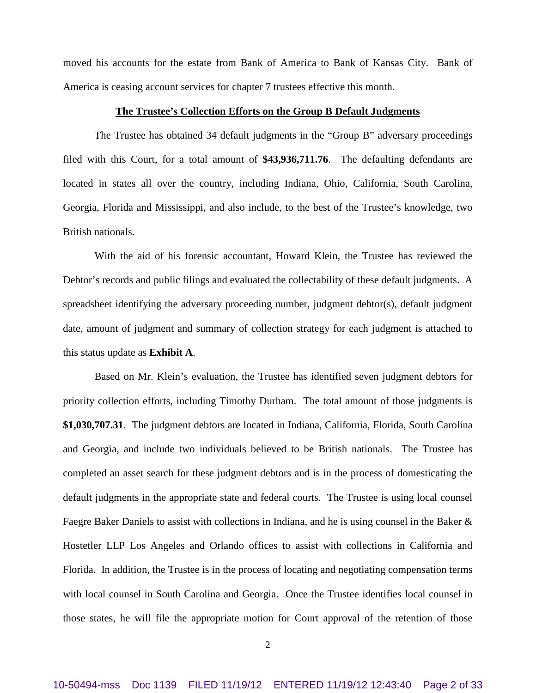moved his accounts for the estate from Bank of America to Bank of Kansas City. Bank of America is ceasing account services for chapter 7 trustees effective this month.

#### **The Trustee's Collection Efforts on the Group B Default Judgments**

The Trustee has obtained 34 default judgments in the "Group B" adversary proceedings filed with this Court, for a total amount of **\$43,936,711.76**. The defaulting defendants are located in states all over the country, including Indiana, Ohio, California, South Carolina, Georgia, Florida and Mississippi, and also include, to the best of the Trustee's knowledge, two British nationals.

With the aid of his forensic accountant, Howard Klein, the Trustee has reviewed the Debtor's records and public filings and evaluated the collectability of these default judgments. A spreadsheet identifying the adversary proceeding number, judgment debtor(s), default judgment date, amount of judgment and summary of collection strategy for each judgment is attached to this status update as **Exhibit A**.

Based on Mr. Klein's evaluation, the Trustee has identified seven judgment debtors for priority collection efforts, including Timothy Durham. The total amount of those judgments is **\$1,030,707.31**. The judgment debtors are located in Indiana, California, Florida, South Carolina and Georgia, and include two individuals believed to be British nationals. The Trustee has completed an asset search for these judgment debtors and is in the process of domesticating the default judgments in the appropriate state and federal courts. The Trustee is using local counsel Faegre Baker Daniels to assist with collections in Indiana, and he is using counsel in the Baker & Hostetler LLP Los Angeles and Orlando offices to assist with collections in California and Florida. In addition, the Trustee is in the process of locating and negotiating compensation terms with local counsel in South Carolina and Georgia. Once the Trustee identifies local counsel in those states, he will file the appropriate motion for Court approval of the retention of those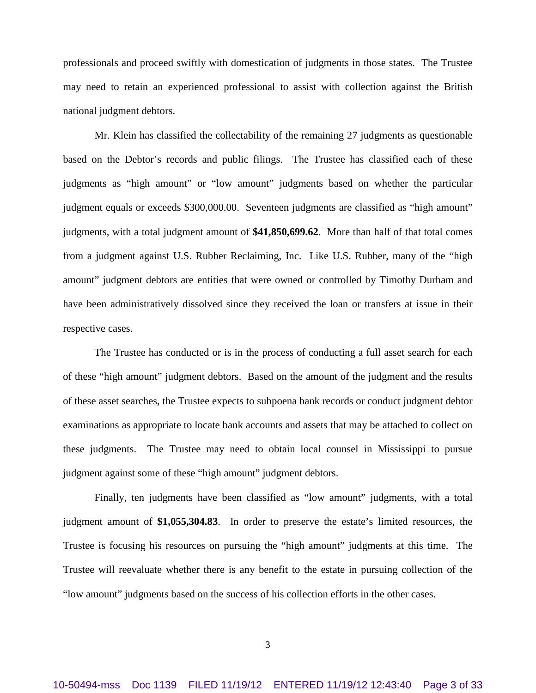professionals and proceed swiftly with domestication of judgments in those states. The Trustee may need to retain an experienced professional to assist with collection against the British national judgment debtors.

Mr. Klein has classified the collectability of the remaining 27 judgments as questionable based on the Debtor's records and public filings. The Trustee has classified each of these judgments as "high amount" or "low amount" judgments based on whether the particular judgment equals or exceeds \$300,000.00. Seventeen judgments are classified as "high amount" judgments, with a total judgment amount of **\$41,850,699.62**. More than half of that total comes from a judgment against U.S. Rubber Reclaiming, Inc. Like U.S. Rubber, many of the "high amount" judgment debtors are entities that were owned or controlled by Timothy Durham and have been administratively dissolved since they received the loan or transfers at issue in their respective cases.

The Trustee has conducted or is in the process of conducting a full asset search for each of these "high amount" judgment debtors. Based on the amount of the judgment and the results of these asset searches, the Trustee expects to subpoena bank records or conduct judgment debtor examinations as appropriate to locate bank accounts and assets that may be attached to collect on these judgments. The Trustee may need to obtain local counsel in Mississippi to pursue judgment against some of these "high amount" judgment debtors.

Finally, ten judgments have been classified as "low amount" judgments, with a total judgment amount of **\$1,055,304.83**. In order to preserve the estate's limited resources, the Trustee is focusing his resources on pursuing the "high amount" judgments at this time. The Trustee will reevaluate whether there is any benefit to the estate in pursuing collection of the "low amount" judgments based on the success of his collection efforts in the other cases.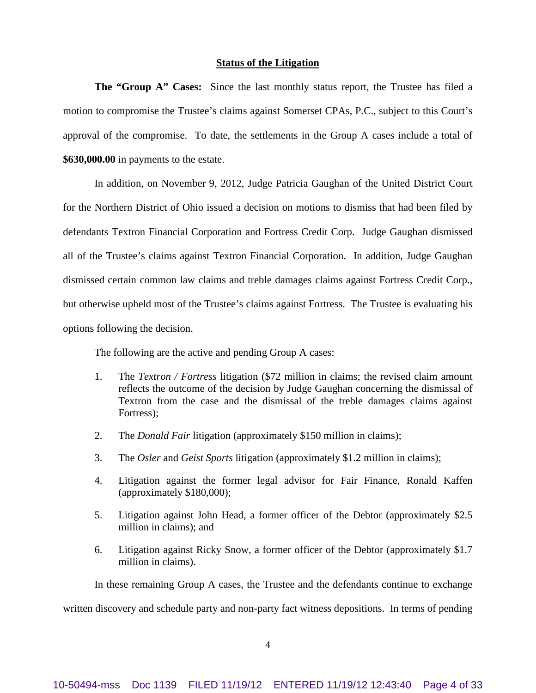#### **Status of the Litigation**

**The "Group A" Cases:** Since the last monthly status report, the Trustee has filed a motion to compromise the Trustee's claims against Somerset CPAs, P.C., subject to this Court's approval of the compromise. To date, the settlements in the Group A cases include a total of **\$630,000.00** in payments to the estate.

In addition, on November 9, 2012, Judge Patricia Gaughan of the United District Court for the Northern District of Ohio issued a decision on motions to dismiss that had been filed by defendants Textron Financial Corporation and Fortress Credit Corp. Judge Gaughan dismissed all of the Trustee's claims against Textron Financial Corporation. In addition, Judge Gaughan dismissed certain common law claims and treble damages claims against Fortress Credit Corp., but otherwise upheld most of the Trustee's claims against Fortress. The Trustee is evaluating his options following the decision.

The following are the active and pending Group A cases:

- 1. The *Textron / Fortress* litigation (\$72 million in claims; the revised claim amount reflects the outcome of the decision by Judge Gaughan concerning the dismissal of Textron from the case and the dismissal of the treble damages claims against Fortress);
- 2. The *Donald Fair* litigation (approximately \$150 million in claims);
- 3. The *Osler* and *Geist Sports* litigation (approximately \$1.2 million in claims);
- 4. Litigation against the former legal advisor for Fair Finance, Ronald Kaffen (approximately \$180,000);
- 5. Litigation against John Head, a former officer of the Debtor (approximately \$2.5 million in claims); and
- 6. Litigation against Ricky Snow, a former officer of the Debtor (approximately \$1.7 million in claims).

In these remaining Group A cases, the Trustee and the defendants continue to exchange

written discovery and schedule party and non-party fact witness depositions. In terms of pending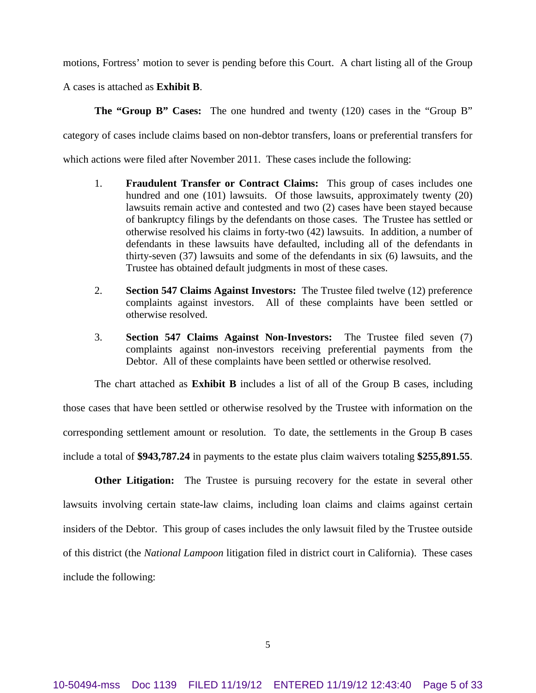motions, Fortress' motion to sever is pending before this Court. A chart listing all of the Group

A cases is attached as **Exhibit B**.

**The "Group B" Cases:** The one hundred and twenty (120) cases in the "Group B"

category of cases include claims based on non-debtor transfers, loans or preferential transfers for

which actions were filed after November 2011. These cases include the following:

- 1. **Fraudulent Transfer or Contract Claims:** This group of cases includes one hundred and one (101) lawsuits. Of those lawsuits, approximately twenty (20) lawsuits remain active and contested and two (2) cases have been stayed because of bankruptcy filings by the defendants on those cases. The Trustee has settled or otherwise resolved his claims in forty-two (42) lawsuits. In addition, a number of defendants in these lawsuits have defaulted, including all of the defendants in thirty-seven (37) lawsuits and some of the defendants in six (6) lawsuits, and the Trustee has obtained default judgments in most of these cases.
- 2. **Section 547 Claims Against Investors:** The Trustee filed twelve (12) preference complaints against investors. All of these complaints have been settled or otherwise resolved.
- 3. **Section 547 Claims Against Non-Investors:** The Trustee filed seven (7) complaints against non-investors receiving preferential payments from the Debtor. All of these complaints have been settled or otherwise resolved.

The chart attached as **Exhibit B** includes a list of all of the Group B cases, including those cases that have been settled or otherwise resolved by the Trustee with information on the corresponding settlement amount or resolution. To date, the settlements in the Group B cases include a total of **\$943,787.24** in payments to the estate plus claim waivers totaling **\$255,891.55**.

**Other Litigation:** The Trustee is pursuing recovery for the estate in several other lawsuits involving certain state-law claims, including loan claims and claims against certain insiders of the Debtor. This group of cases includes the only lawsuit filed by the Trustee outside of this district (the *National Lampoon* litigation filed in district court in California). These cases include the following: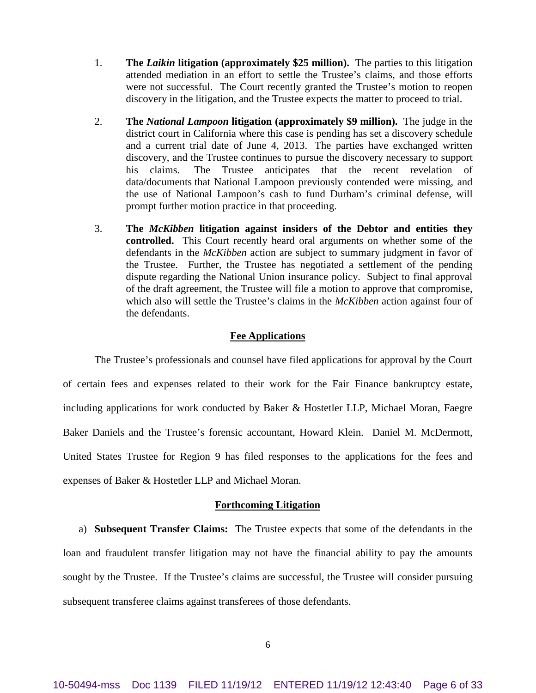- 1. **The** *Laikin* **litigation (approximately \$25 million).** The parties to this litigation attended mediation in an effort to settle the Trustee's claims, and those efforts were not successful. The Court recently granted the Trustee's motion to reopen discovery in the litigation, and the Trustee expects the matter to proceed to trial.
- 2. **The** *National Lampoon* **litigation (approximately \$9 million).** The judge in the district court in California where this case is pending has set a discovery schedule and a current trial date of June 4, 2013. The parties have exchanged written discovery, and the Trustee continues to pursue the discovery necessary to support his claims. The Trustee anticipates that the recent revelation of data/documents that National Lampoon previously contended were missing, and the use of National Lampoon's cash to fund Durham's criminal defense, will prompt further motion practice in that proceeding.
- 3. **The** *McKibben* **litigation against insiders of the Debtor and entities they controlled.** This Court recently heard oral arguments on whether some of the defendants in the *McKibben* action are subject to summary judgment in favor of the Trustee. Further, the Trustee has negotiated a settlement of the pending dispute regarding the National Union insurance policy. Subject to final approval of the draft agreement, the Trustee will file a motion to approve that compromise, which also will settle the Trustee's claims in the *McKibben* action against four of the defendants.

#### **Fee Applications**

The Trustee's professionals and counsel have filed applications for approval by the Court of certain fees and expenses related to their work for the Fair Finance bankruptcy estate, including applications for work conducted by Baker & Hostetler LLP, Michael Moran, Faegre Baker Daniels and the Trustee's forensic accountant, Howard Klein. Daniel M. McDermott, United States Trustee for Region 9 has filed responses to the applications for the fees and expenses of Baker & Hostetler LLP and Michael Moran.

#### **Forthcoming Litigation**

a) **Subsequent Transfer Claims:** The Trustee expects that some of the defendants in the loan and fraudulent transfer litigation may not have the financial ability to pay the amounts sought by the Trustee. If the Trustee's claims are successful, the Trustee will consider pursuing subsequent transferee claims against transferees of those defendants.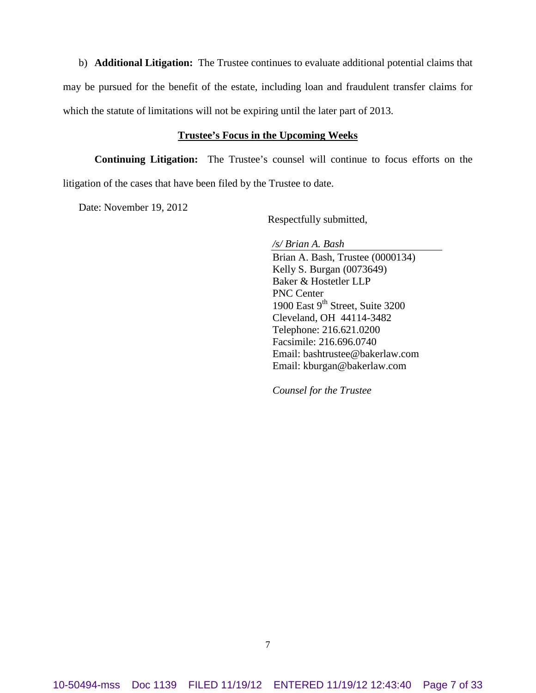b) **Additional Litigation:** The Trustee continues to evaluate additional potential claims that may be pursued for the benefit of the estate, including loan and fraudulent transfer claims for which the statute of limitations will not be expiring until the later part of 2013.

#### **Trustee's Focus in the Upcoming Weeks**

**Continuing Litigation:** The Trustee's counsel will continue to focus efforts on the litigation of the cases that have been filed by the Trustee to date.

Date: November 19, 2012

Respectfully submitted,

*/s/ Brian A. Bash*

Brian A. Bash, Trustee (0000134) Kelly S. Burgan (0073649) Baker & Hostetler LLP PNC Center 1900 East 9<sup>th</sup> Street, Suite 3200 Cleveland, OH 44114-3482 Telephone: 216.621.0200 Facsimile: 216.696.0740 Email: bashtrustee@bakerlaw.com Email: kburgan@bakerlaw.com

*Counsel for the Trustee*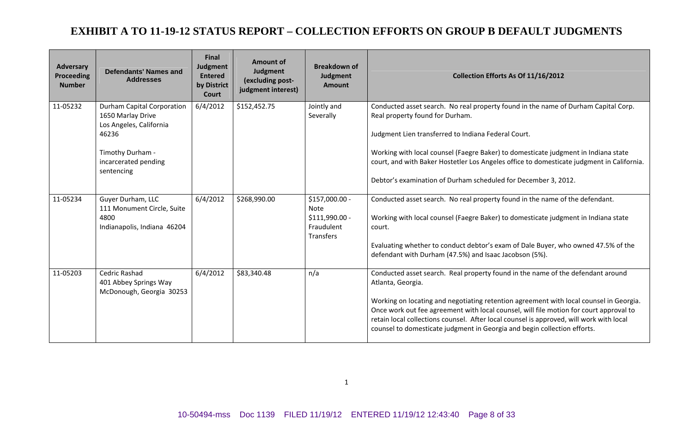| <b>Adversary</b><br><b>Proceeding</b><br><b>Number</b> | <b>Defendants' Names and</b><br><b>Addresses</b>                                                                                                     | <b>Final</b><br>Judgment<br><b>Entered</b><br>by District<br>Court | <b>Amount of</b><br>Judgment<br>(excluding post-<br>judgment interest) | <b>Breakdown of</b><br>Judgment<br><b>Amount</b>                     | Collection Efforts As Of 11/16/2012                                                                                                                                                                                                                                                                                                                                                                                                                             |  |  |  |
|--------------------------------------------------------|------------------------------------------------------------------------------------------------------------------------------------------------------|--------------------------------------------------------------------|------------------------------------------------------------------------|----------------------------------------------------------------------|-----------------------------------------------------------------------------------------------------------------------------------------------------------------------------------------------------------------------------------------------------------------------------------------------------------------------------------------------------------------------------------------------------------------------------------------------------------------|--|--|--|
| 11-05232                                               | <b>Durham Capital Corporation</b><br>1650 Marlay Drive<br>Los Angeles, California<br>46236<br>Timothy Durham -<br>incarcerated pending<br>sentencing | 6/4/2012                                                           | \$152,452.75                                                           | Jointly and<br>Severally                                             | Conducted asset search. No real property found in the name of Durham Capital Corp.<br>Real property found for Durham.<br>Judgment Lien transferred to Indiana Federal Court.<br>Working with local counsel (Faegre Baker) to domesticate judgment in Indiana state<br>court, and with Baker Hostetler Los Angeles office to domesticate judgment in California.<br>Debtor's examination of Durham scheduled for December 3, 2012.                               |  |  |  |
| 11-05234                                               | Guyer Durham, LLC<br>111 Monument Circle, Suite<br>4800<br>Indianapolis, Indiana 46204                                                               | 6/4/2012                                                           | \$268,990.00                                                           | \$157,000.00 -<br>Note<br>$$111,990.00 -$<br>Fraudulent<br>Transfers | Conducted asset search. No real property found in the name of the defendant.<br>Working with local counsel (Faegre Baker) to domesticate judgment in Indiana state<br>court.<br>Evaluating whether to conduct debtor's exam of Dale Buyer, who owned 47.5% of the<br>defendant with Durham (47.5%) and Isaac Jacobson (5%).                                                                                                                                     |  |  |  |
| 11-05203                                               | Cedric Rashad<br>401 Abbey Springs Way<br>McDonough, Georgia 30253                                                                                   | 6/4/2012                                                           | \$83,340.48                                                            | n/a                                                                  | Conducted asset search. Real property found in the name of the defendant around<br>Atlanta, Georgia.<br>Working on locating and negotiating retention agreement with local counsel in Georgia.<br>Once work out fee agreement with local counsel, will file motion for court approval to<br>retain local collections counsel. After local counsel is approved, will work with local<br>counsel to domesticate judgment in Georgia and begin collection efforts. |  |  |  |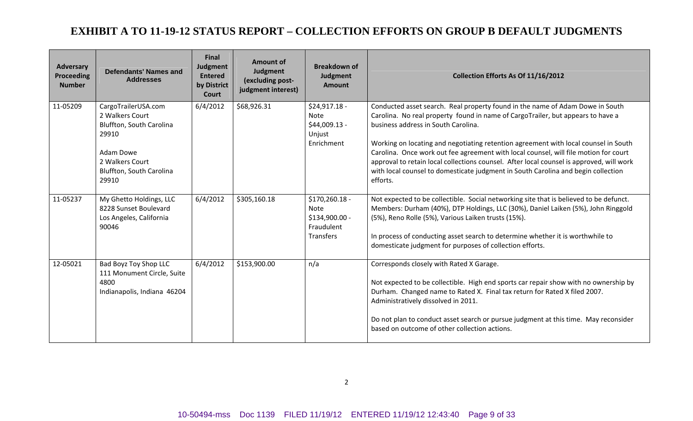| <b>Adversary</b><br><b>Proceeding</b><br><b>Number</b> | <b>Defendants' Names and</b><br><b>Addresses</b>                                                                                                 | <b>Final</b><br>Judgment<br><b>Entered</b><br>by District<br>Court | <b>Amount of</b><br>Judgment<br>(excluding post-<br>judgment interest) | <b>Breakdown of</b><br>Judgment<br><b>Amount</b>                     | Collection Efforts As Of 11/16/2012                                                                                                                                                                                                                                                                                                                                                                                                                                                                                                                                                 |  |  |
|--------------------------------------------------------|--------------------------------------------------------------------------------------------------------------------------------------------------|--------------------------------------------------------------------|------------------------------------------------------------------------|----------------------------------------------------------------------|-------------------------------------------------------------------------------------------------------------------------------------------------------------------------------------------------------------------------------------------------------------------------------------------------------------------------------------------------------------------------------------------------------------------------------------------------------------------------------------------------------------------------------------------------------------------------------------|--|--|
| 11-05209                                               | CargoTrailerUSA.com<br>2 Walkers Court<br>Bluffton, South Carolina<br>29910<br>Adam Dowe<br>2 Walkers Court<br>Bluffton, South Carolina<br>29910 | 6/4/2012                                                           | \$68,926.31                                                            | $$24,917.18 -$<br>Note<br>$$44,009.13 -$<br>Unjust<br>Enrichment     | Conducted asset search. Real property found in the name of Adam Dowe in South<br>Carolina. No real property found in name of CargoTrailer, but appears to have a<br>business address in South Carolina.<br>Working on locating and negotiating retention agreement with local counsel in South<br>Carolina. Once work out fee agreement with local counsel, will file motion for court<br>approval to retain local collections counsel. After local counsel is approved, will work<br>with local counsel to domesticate judgment in South Carolina and begin collection<br>efforts. |  |  |
| 11-05237                                               | My Ghetto Holdings, LLC<br>8228 Sunset Boulevard<br>Los Angeles, California<br>90046                                                             | 6/4/2012                                                           | \$305,160.18                                                           | $$170,260.18 -$<br>Note<br>\$134,900.00 -<br>Fraudulent<br>Transfers | Not expected to be collectible. Social networking site that is believed to be defunct.<br>Members: Durham (40%), DTP Holdings, LLC (30%), Daniel Laiken (5%), John Ringgold<br>(5%), Reno Rolle (5%), Various Laiken trusts (15%).<br>In process of conducting asset search to determine whether it is worthwhile to<br>domesticate judgment for purposes of collection efforts.                                                                                                                                                                                                    |  |  |
| 12-05021                                               | Bad Boyz Toy Shop LLC<br>111 Monument Circle, Suite<br>4800<br>Indianapolis, Indiana 46204                                                       | 6/4/2012                                                           | \$153,900.00                                                           | n/a                                                                  | Corresponds closely with Rated X Garage.<br>Not expected to be collectible. High end sports car repair show with no ownership by<br>Durham. Changed name to Rated X. Final tax return for Rated X filed 2007.<br>Administratively dissolved in 2011.<br>Do not plan to conduct asset search or pursue judgment at this time. May reconsider<br>based on outcome of other collection actions.                                                                                                                                                                                        |  |  |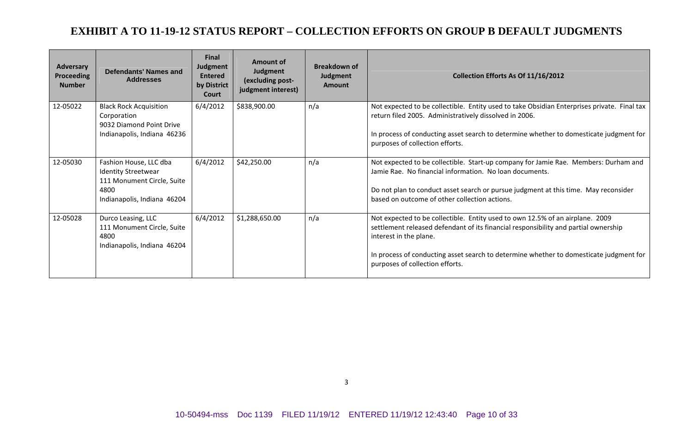| <b>Adversary</b><br><b>Proceeding</b><br><b>Number</b> | Defendants' Names and<br><b>Addresses</b>                                                                                 | <b>Final</b><br>Judgment<br><b>Entered</b><br>by District<br>Court | Amount of<br>Judgment<br>(excluding post-<br>judgment interest) | <b>Breakdown of</b><br>Judgment<br><b>Amount</b> | Collection Efforts As Of 11/16/2012                                                                                                                                                                                                                                                                                         |  |  |  |  |
|--------------------------------------------------------|---------------------------------------------------------------------------------------------------------------------------|--------------------------------------------------------------------|-----------------------------------------------------------------|--------------------------------------------------|-----------------------------------------------------------------------------------------------------------------------------------------------------------------------------------------------------------------------------------------------------------------------------------------------------------------------------|--|--|--|--|
| 12-05022                                               | <b>Black Rock Acquisition</b><br>Corporation<br>9032 Diamond Point Drive<br>Indianapolis, Indiana 46236                   | 6/4/2012                                                           | \$838,900.00                                                    | n/a                                              | Not expected to be collectible. Entity used to take Obsidian Enterprises private. Final tax<br>return filed 2005. Administratively dissolved in 2006.<br>In process of conducting asset search to determine whether to domesticate judgment for<br>purposes of collection efforts.                                          |  |  |  |  |
| 12-05030                                               | Fashion House, LLC dba<br><b>Identity Streetwear</b><br>111 Monument Circle, Suite<br>4800<br>Indianapolis, Indiana 46204 | 6/4/2012                                                           | \$42,250.00                                                     | n/a                                              | Not expected to be collectible. Start-up company for Jamie Rae. Members: Durham and<br>Jamie Rae. No financial information. No loan documents.<br>Do not plan to conduct asset search or pursue judgment at this time. May reconsider<br>based on outcome of other collection actions.                                      |  |  |  |  |
| 12-05028                                               | Durco Leasing, LLC<br>111 Monument Circle, Suite<br>4800<br>Indianapolis, Indiana 46204                                   | 6/4/2012                                                           | \$1,288,650.00                                                  | n/a                                              | Not expected to be collectible. Entity used to own 12.5% of an airplane. 2009<br>settlement released defendant of its financial responsibility and partial ownership<br>interest in the plane.<br>In process of conducting asset search to determine whether to domesticate judgment for<br>purposes of collection efforts. |  |  |  |  |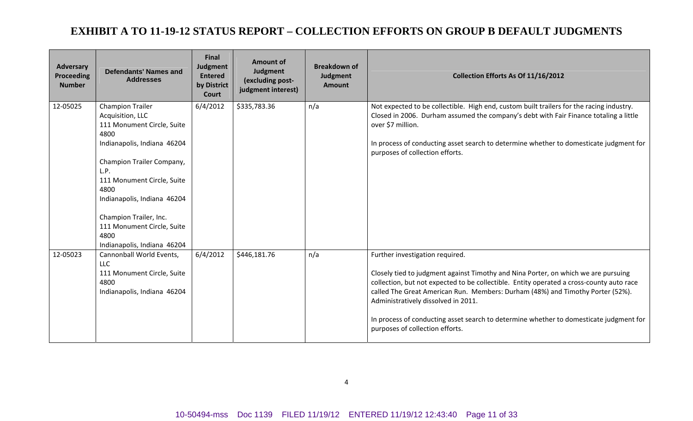| <b>Adversary</b><br><b>Proceeding</b><br><b>Number</b> | <b>Defendants' Names and</b><br><b>Addresses</b>                                                                                                                                                                                                                                                                          | <b>Final</b><br>Judgment<br><b>Entered</b><br>by District<br>Court | <b>Amount of</b><br>Judgment<br>(excluding post-<br>judgment interest) | <b>Breakdown of</b><br>Judgment<br><b>Amount</b> | Collection Efforts As Of 11/16/2012                                                                                                                                                                                                                                                                                                                                                                                                                                     |
|--------------------------------------------------------|---------------------------------------------------------------------------------------------------------------------------------------------------------------------------------------------------------------------------------------------------------------------------------------------------------------------------|--------------------------------------------------------------------|------------------------------------------------------------------------|--------------------------------------------------|-------------------------------------------------------------------------------------------------------------------------------------------------------------------------------------------------------------------------------------------------------------------------------------------------------------------------------------------------------------------------------------------------------------------------------------------------------------------------|
| 12-05025                                               | <b>Champion Trailer</b><br>Acquisition, LLC<br>111 Monument Circle, Suite<br>4800<br>Indianapolis, Indiana 46204<br>Champion Trailer Company,<br>L.P.<br>111 Monument Circle, Suite<br>4800<br>Indianapolis, Indiana 46204<br>Champion Trailer, Inc.<br>111 Monument Circle, Suite<br>4800<br>Indianapolis, Indiana 46204 | 6/4/2012                                                           | \$335,783.36                                                           | n/a                                              | Not expected to be collectible. High end, custom built trailers for the racing industry.<br>Closed in 2006. Durham assumed the company's debt with Fair Finance totaling a little<br>over \$7 million.<br>In process of conducting asset search to determine whether to domesticate judgment for<br>purposes of collection efforts.                                                                                                                                     |
| 12-05023                                               | Cannonball World Events,<br>LLC.<br>111 Monument Circle, Suite<br>4800<br>Indianapolis, Indiana 46204                                                                                                                                                                                                                     | 6/4/2012                                                           | \$446,181.76                                                           | n/a                                              | Further investigation required.<br>Closely tied to judgment against Timothy and Nina Porter, on which we are pursuing<br>collection, but not expected to be collectible. Entity operated a cross-county auto race<br>called The Great American Run. Members: Durham (48%) and Timothy Porter (52%).<br>Administratively dissolved in 2011.<br>In process of conducting asset search to determine whether to domesticate judgment for<br>purposes of collection efforts. |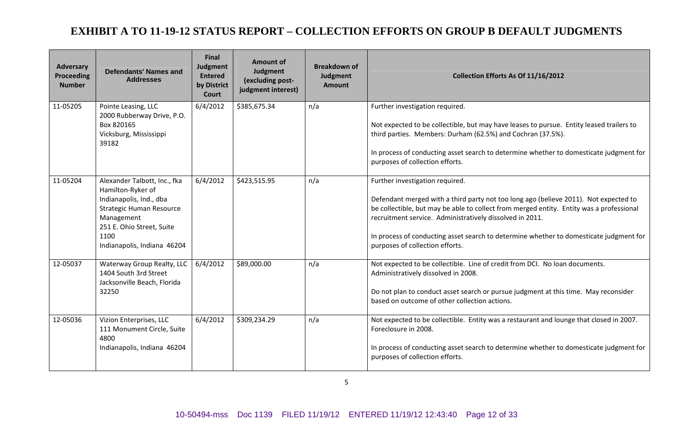| <b>Adversary</b><br>Proceeding<br><b>Number</b> | <b>Defendants' Names and</b><br><b>Addresses</b>                                                                                                                                                  | <b>Final</b><br>Judgment<br><b>Entered</b><br>by District<br>Court | <b>Amount of</b><br>Judgment<br>(excluding post-<br>judgment interest) | <b>Breakdown of</b><br>Judgment<br><b>Amount</b> | Collection Efforts As Of 11/16/2012                                                                                                                                                                                                                                                                                                                                                                          |  |  |  |  |
|-------------------------------------------------|---------------------------------------------------------------------------------------------------------------------------------------------------------------------------------------------------|--------------------------------------------------------------------|------------------------------------------------------------------------|--------------------------------------------------|--------------------------------------------------------------------------------------------------------------------------------------------------------------------------------------------------------------------------------------------------------------------------------------------------------------------------------------------------------------------------------------------------------------|--|--|--|--|
| 11-05205                                        | Pointe Leasing, LLC<br>2000 Rubberway Drive, P.O.<br>Box 820165<br>Vicksburg, Mississippi<br>39182                                                                                                | 6/4/2012                                                           | \$385,675.34                                                           | n/a                                              | Further investigation required.<br>Not expected to be collectible, but may have leases to pursue. Entity leased trailers to<br>third parties. Members: Durham (62.5%) and Cochran (37.5%).<br>In process of conducting asset search to determine whether to domesticate judgment for<br>purposes of collection efforts.                                                                                      |  |  |  |  |
| 11-05204                                        | Alexander Talbott, Inc., fka<br>Hamilton-Ryker of<br>Indianapolis, Ind., dba<br><b>Strategic Human Resource</b><br>Management<br>251 E. Ohio Street, Suite<br>1100<br>Indianapolis, Indiana 46204 | 6/4/2012                                                           | \$423,515.95                                                           | n/a                                              | Further investigation required.<br>Defendant merged with a third party not too long ago (believe 2011). Not expected to<br>be collectible, but may be able to collect from merged entity. Entity was a professional<br>recruitment service. Administratively dissolved in 2011.<br>In process of conducting asset search to determine whether to domesticate judgment for<br>purposes of collection efforts. |  |  |  |  |
| 12-05037                                        | Waterway Group Realty, LLC<br>1404 South 3rd Street<br>Jacksonville Beach, Florida<br>32250                                                                                                       | 6/4/2012                                                           | \$89,000.00                                                            | n/a                                              | Not expected to be collectible. Line of credit from DCI. No loan documents.<br>Administratively dissolved in 2008.<br>Do not plan to conduct asset search or pursue judgment at this time. May reconsider<br>based on outcome of other collection actions.                                                                                                                                                   |  |  |  |  |
| 12-05036                                        | Vizion Enterprises, LLC<br>111 Monument Circle, Suite<br>4800<br>Indianapolis, Indiana 46204                                                                                                      | 6/4/2012                                                           | \$309,234.29                                                           | n/a                                              | Not expected to be collectible. Entity was a restaurant and lounge that closed in 2007.<br>Foreclosure in 2008.<br>In process of conducting asset search to determine whether to domesticate judgment for<br>purposes of collection efforts.                                                                                                                                                                 |  |  |  |  |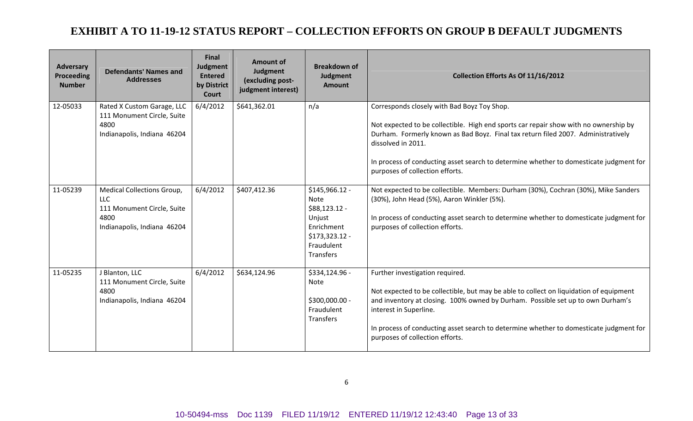| <b>Adversary</b><br><b>Proceeding</b><br><b>Number</b> | <b>Defendants' Names and</b><br><b>Addresses</b>                                                                     | <b>Final</b><br>Judgment<br><b>Entered</b><br>by District<br>Court | <b>Amount of</b><br>Judgment<br>(excluding post-<br>judgment interest) | <b>Breakdown of</b><br>Judgment<br><b>Amount</b>                                                                      | Collection Efforts As Of 11/16/2012                                                                                                                                                                                                                                                                                                                                         |  |  |
|--------------------------------------------------------|----------------------------------------------------------------------------------------------------------------------|--------------------------------------------------------------------|------------------------------------------------------------------------|-----------------------------------------------------------------------------------------------------------------------|-----------------------------------------------------------------------------------------------------------------------------------------------------------------------------------------------------------------------------------------------------------------------------------------------------------------------------------------------------------------------------|--|--|
| 12-05033                                               | Rated X Custom Garage, LLC<br>111 Monument Circle, Suite<br>4800<br>Indianapolis, Indiana 46204                      | 6/4/2012                                                           | \$641,362.01                                                           | n/a                                                                                                                   | Corresponds closely with Bad Boyz Toy Shop.<br>Not expected to be collectible. High end sports car repair show with no ownership by<br>Durham. Formerly known as Bad Boyz. Final tax return filed 2007. Administratively<br>dissolved in 2011.<br>In process of conducting asset search to determine whether to domesticate judgment for<br>purposes of collection efforts. |  |  |
| 11-05239                                               | <b>Medical Collections Group,</b><br><b>LLC</b><br>111 Monument Circle, Suite<br>4800<br>Indianapolis, Indiana 46204 | 6/4/2012                                                           | \$407,412.36                                                           | $$145,966.12 -$<br><b>Note</b><br>$$88,123.12$ -<br>Unjust<br>Enrichment<br>$$173,323.12-$<br>Fraudulent<br>Transfers | Not expected to be collectible. Members: Durham (30%), Cochran (30%), Mike Sanders<br>(30%), John Head (5%), Aaron Winkler (5%).<br>In process of conducting asset search to determine whether to domesticate judgment for<br>purposes of collection efforts.                                                                                                               |  |  |
| 11-05235                                               | J Blanton, LLC<br>111 Monument Circle, Suite<br>4800<br>Indianapolis, Indiana 46204                                  | 6/4/2012                                                           | \$634,124.96                                                           | \$334,124.96 -<br>Note<br>\$300,000.00 -<br>Fraudulent<br>Transfers                                                   | Further investigation required.<br>Not expected to be collectible, but may be able to collect on liquidation of equipment<br>and inventory at closing. 100% owned by Durham. Possible set up to own Durham's<br>interest in Superline.<br>In process of conducting asset search to determine whether to domesticate judgment for<br>purposes of collection efforts.         |  |  |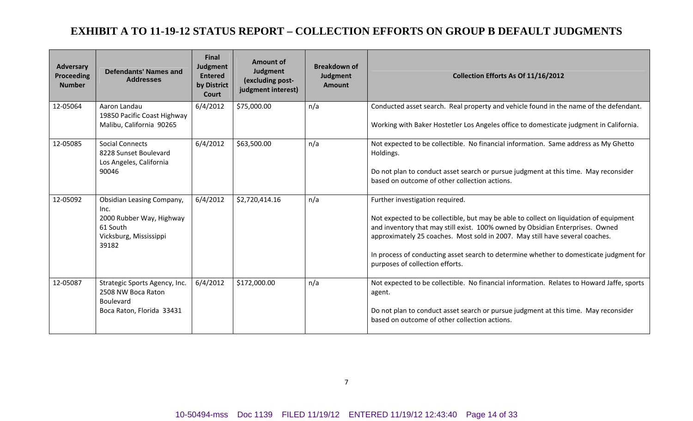| Adversary<br><b>Proceeding</b><br><b>Number</b> | <b>Defendants' Names and</b><br><b>Addresses</b>                                                                    | <b>Final</b><br>Judgment<br><b>Entered</b><br>by District<br>Court | <b>Amount of</b><br>Judgment<br>(excluding post-<br>judgment interest) | <b>Breakdown of</b><br>Judgment<br><b>Amount</b> | Collection Efforts As Of 11/16/2012                                                                                                                                                                                                                                                                                                                                                                                     |
|-------------------------------------------------|---------------------------------------------------------------------------------------------------------------------|--------------------------------------------------------------------|------------------------------------------------------------------------|--------------------------------------------------|-------------------------------------------------------------------------------------------------------------------------------------------------------------------------------------------------------------------------------------------------------------------------------------------------------------------------------------------------------------------------------------------------------------------------|
| 12-05064                                        | Aaron Landau<br>19850 Pacific Coast Highway<br>Malibu, California 90265                                             | 6/4/2012                                                           | \$75,000.00                                                            | n/a                                              | Conducted asset search. Real property and vehicle found in the name of the defendant.<br>Working with Baker Hostetler Los Angeles office to domesticate judgment in California.                                                                                                                                                                                                                                         |
| 12-05085                                        | <b>Social Connects</b><br>8228 Sunset Boulevard<br>Los Angeles, California<br>90046                                 | 6/4/2012                                                           | \$63,500.00                                                            | n/a                                              | Not expected to be collectible. No financial information. Same address as My Ghetto<br>Holdings.<br>Do not plan to conduct asset search or pursue judgment at this time. May reconsider<br>based on outcome of other collection actions.                                                                                                                                                                                |
| 12-05092                                        | <b>Obsidian Leasing Company,</b><br>Inc.<br>2000 Rubber Way, Highway<br>61 South<br>Vicksburg, Mississippi<br>39182 | 6/4/2012                                                           | \$2,720,414.16                                                         | n/a                                              | Further investigation required.<br>Not expected to be collectible, but may be able to collect on liquidation of equipment<br>and inventory that may still exist. 100% owned by Obsidian Enterprises. Owned<br>approximately 25 coaches. Most sold in 2007. May still have several coaches.<br>In process of conducting asset search to determine whether to domesticate judgment for<br>purposes of collection efforts. |
| 12-05087                                        | Strategic Sports Agency, Inc.<br>2508 NW Boca Raton<br><b>Boulevard</b><br>Boca Raton, Florida 33431                | 6/4/2012                                                           | \$172,000.00                                                           | n/a                                              | Not expected to be collectible. No financial information. Relates to Howard Jaffe, sports<br>agent.<br>Do not plan to conduct asset search or pursue judgment at this time. May reconsider<br>based on outcome of other collection actions.                                                                                                                                                                             |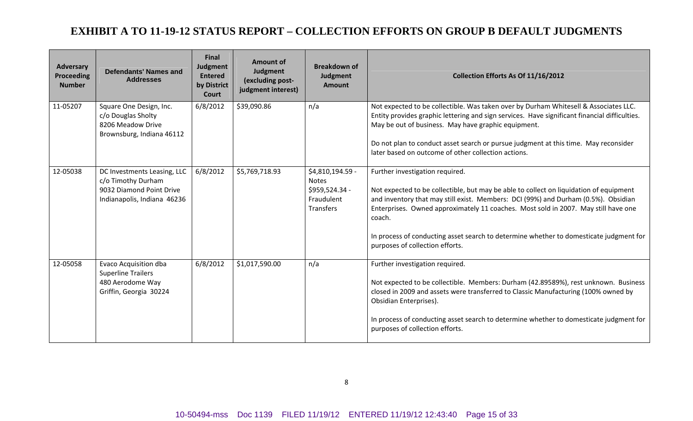| <b>Adversary</b><br><b>Proceeding</b><br><b>Number</b> | <b>Defendants' Names and</b><br><b>Addresses</b>                                                             | <b>Final</b><br>Judgment<br><b>Entered</b><br>by District<br><b>Court</b> | <b>Amount of</b><br>Judgment<br>(excluding post-<br>judgment interest) | <b>Breakdown of</b><br>Judgment<br><b>Amount</b>                              | Collection Efforts As Of 11/16/2012                                                                                                                                                                                                                                                                                                                                                                                                          |
|--------------------------------------------------------|--------------------------------------------------------------------------------------------------------------|---------------------------------------------------------------------------|------------------------------------------------------------------------|-------------------------------------------------------------------------------|----------------------------------------------------------------------------------------------------------------------------------------------------------------------------------------------------------------------------------------------------------------------------------------------------------------------------------------------------------------------------------------------------------------------------------------------|
| 11-05207                                               | Square One Design, Inc.<br>c/o Douglas Sholty<br>8206 Meadow Drive<br>Brownsburg, Indiana 46112              | 6/8/2012                                                                  | \$39,090.86                                                            | n/a                                                                           | Not expected to be collectible. Was taken over by Durham Whitesell & Associates LLC.<br>Entity provides graphic lettering and sign services. Have significant financial difficulties.<br>May be out of business. May have graphic equipment.<br>Do not plan to conduct asset search or pursue judgment at this time. May reconsider<br>later based on outcome of other collection actions.                                                   |
| 12-05038                                               | DC Investments Leasing, LLC<br>c/o Timothy Durham<br>9032 Diamond Point Drive<br>Indianapolis, Indiana 46236 | 6/8/2012                                                                  | \$5,769,718.93                                                         | \$4,810,194.59 -<br><b>Notes</b><br>\$959,524.34 -<br>Fraudulent<br>Transfers | Further investigation required.<br>Not expected to be collectible, but may be able to collect on liquidation of equipment<br>and inventory that may still exist. Members: DCI (99%) and Durham (0.5%). Obsidian<br>Enterprises. Owned approximately 11 coaches. Most sold in 2007. May still have one<br>coach.<br>In process of conducting asset search to determine whether to domesticate judgment for<br>purposes of collection efforts. |
| 12-05058                                               | Evaco Acquisition dba<br><b>Superline Trailers</b><br>480 Aerodome Way<br>Griffin, Georgia 30224             | 6/8/2012                                                                  | \$1,017,590.00                                                         | n/a                                                                           | Further investigation required.<br>Not expected to be collectible. Members: Durham (42.89589%), rest unknown. Business<br>closed in 2009 and assets were transferred to Classic Manufacturing (100% owned by<br>Obsidian Enterprises).<br>In process of conducting asset search to determine whether to domesticate judgment for<br>purposes of collection efforts.                                                                          |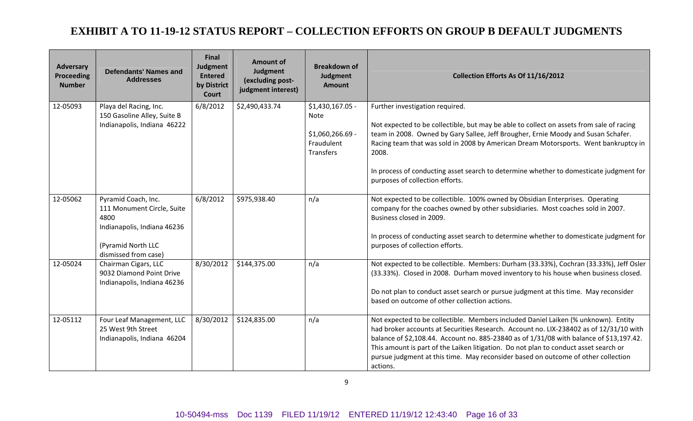| <b>Adversary</b><br>Proceeding<br><b>Number</b> | <b>Defendants' Names and</b><br><b>Addresses</b>                                                                                       | <b>Final</b><br>Judgment<br><b>Entered</b><br>by District<br>Court | <b>Amount of</b><br>Judgment<br>(excluding post-<br>judgment interest) | <b>Breakdown of</b><br>Judgment<br><b>Amount</b>                               | Collection Efforts As Of 11/16/2012                                                                                                                                                                                                                                                                                                                                                                                                                              |  |  |  |
|-------------------------------------------------|----------------------------------------------------------------------------------------------------------------------------------------|--------------------------------------------------------------------|------------------------------------------------------------------------|--------------------------------------------------------------------------------|------------------------------------------------------------------------------------------------------------------------------------------------------------------------------------------------------------------------------------------------------------------------------------------------------------------------------------------------------------------------------------------------------------------------------------------------------------------|--|--|--|
| 12-05093                                        | Playa del Racing, Inc.<br>150 Gasoline Alley, Suite B<br>Indianapolis, Indiana 46222                                                   | 6/8/2012                                                           | \$2,490,433.74                                                         | \$1,430,167.05 -<br>Note<br>\$1,060,266.69 -<br>Fraudulent<br><b>Transfers</b> | Further investigation required.<br>Not expected to be collectible, but may be able to collect on assets from sale of racing<br>team in 2008. Owned by Gary Sallee, Jeff Brougher, Ernie Moody and Susan Schafer.<br>Racing team that was sold in 2008 by American Dream Motorsports. Went bankruptcy in<br>2008.<br>In process of conducting asset search to determine whether to domesticate judgment for<br>purposes of collection efforts.                    |  |  |  |
| 12-05062                                        | Pyramid Coach, Inc.<br>111 Monument Circle, Suite<br>4800<br>Indianapolis, Indiana 46236<br>(Pyramid North LLC<br>dismissed from case) | 6/8/2012                                                           | \$975,938.40                                                           | n/a                                                                            | Not expected to be collectible. 100% owned by Obsidian Enterprises. Operating<br>company for the coaches owned by other subsidiaries. Most coaches sold in 2007.<br>Business closed in 2009.<br>In process of conducting asset search to determine whether to domesticate judgment for<br>purposes of collection efforts.                                                                                                                                        |  |  |  |
| 12-05024                                        | Chairman Cigars, LLC<br>9032 Diamond Point Drive<br>Indianapolis, Indiana 46236                                                        | 8/30/2012                                                          | \$144,375.00                                                           | n/a                                                                            | Not expected to be collectible. Members: Durham (33.33%), Cochran (33.33%), Jeff Osler<br>(33.33%). Closed in 2008. Durham moved inventory to his house when business closed.<br>Do not plan to conduct asset search or pursue judgment at this time. May reconsider<br>based on outcome of other collection actions.                                                                                                                                            |  |  |  |
| 12-05112                                        | Four Leaf Management, LLC<br>25 West 9th Street<br>Indianapolis, Indiana 46204                                                         | 8/30/2012                                                          | \$124,835.00                                                           | n/a                                                                            | Not expected to be collectible. Members included Daniel Laiken (% unknown). Entity<br>had broker accounts at Securities Research. Account no. LIX-238402 as of 12/31/10 with<br>balance of \$2,108.44. Account no. 885-23840 as of 1/31/08 with balance of \$13,197.42.<br>This amount is part of the Laiken litigation. Do not plan to conduct asset search or<br>pursue judgment at this time. May reconsider based on outcome of other collection<br>actions. |  |  |  |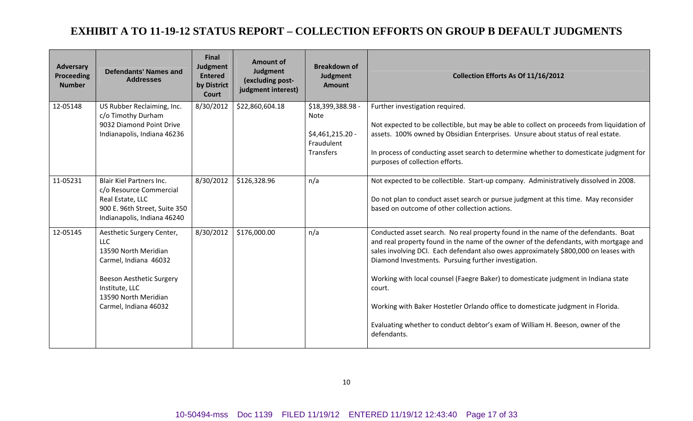| <b>Adversary</b><br>Proceeding<br><b>Number</b> | <b>Defendants' Names and</b><br><b>Addresses</b>                                                                                                                                        | <b>Final</b><br>Judgment<br><b>Entered</b><br>by District<br>Court | <b>Amount of</b><br>Judgment<br>(excluding post-<br>judgment interest) | <b>Breakdown of</b><br>Judgment<br><b>Amount</b>                                       | Collection Efforts As Of 11/16/2012                                                                                                                                                                                                                                                                                                                                                                                                                                                                                                                                                                             |
|-------------------------------------------------|-----------------------------------------------------------------------------------------------------------------------------------------------------------------------------------------|--------------------------------------------------------------------|------------------------------------------------------------------------|----------------------------------------------------------------------------------------|-----------------------------------------------------------------------------------------------------------------------------------------------------------------------------------------------------------------------------------------------------------------------------------------------------------------------------------------------------------------------------------------------------------------------------------------------------------------------------------------------------------------------------------------------------------------------------------------------------------------|
| 12-05148                                        | US Rubber Reclaiming, Inc.<br>c/o Timothy Durham<br>9032 Diamond Point Drive<br>Indianapolis, Indiana 46236                                                                             | 8/30/2012                                                          | \$22,860,604.18                                                        | \$18,399,388.98 -<br><b>Note</b><br>\$4,461,215.20 -<br>Fraudulent<br><b>Transfers</b> | Further investigation required.<br>Not expected to be collectible, but may be able to collect on proceeds from liquidation of<br>assets. 100% owned by Obsidian Enterprises. Unsure about status of real estate.<br>In process of conducting asset search to determine whether to domesticate judgment for<br>purposes of collection efforts.                                                                                                                                                                                                                                                                   |
| 11-05231                                        | <b>Blair Kiel Partners Inc.</b><br>c/o Resource Commercial<br>Real Estate, LLC<br>900 E. 96th Street, Suite 350<br>Indianapolis, Indiana 46240                                          | 8/30/2012                                                          | \$126,328.96                                                           | n/a                                                                                    | Not expected to be collectible. Start-up company. Administratively dissolved in 2008.<br>Do not plan to conduct asset search or pursue judgment at this time. May reconsider<br>based on outcome of other collection actions.                                                                                                                                                                                                                                                                                                                                                                                   |
| 12-05145                                        | Aesthetic Surgery Center,<br><b>LLC</b><br>13590 North Meridian<br>Carmel, Indiana 46032<br>Beeson Aesthetic Surgery<br>Institute, LLC<br>13590 North Meridian<br>Carmel, Indiana 46032 | 8/30/2012                                                          | \$176,000.00                                                           | n/a                                                                                    | Conducted asset search. No real property found in the name of the defendants. Boat<br>and real property found in the name of the owner of the defendants, with mortgage and<br>sales involving DCI. Each defendant also owes approximately \$800,000 on leases with<br>Diamond Investments. Pursuing further investigation.<br>Working with local counsel (Faegre Baker) to domesticate judgment in Indiana state<br>court.<br>Working with Baker Hostetler Orlando office to domesticate judgment in Florida.<br>Evaluating whether to conduct debtor's exam of William H. Beeson, owner of the<br>defendants. |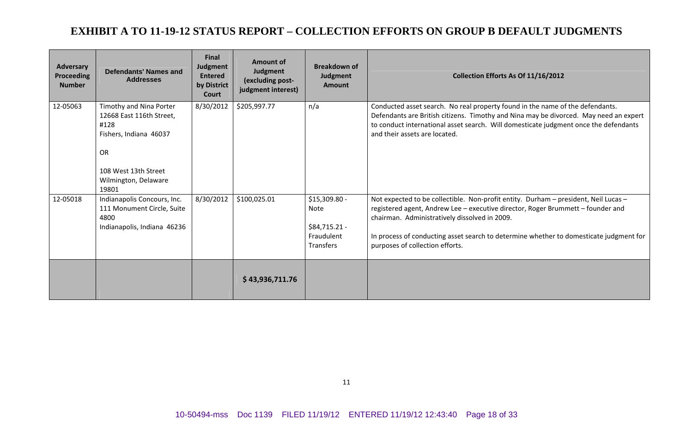| Adversary<br><b>Proceeding</b><br><b>Number</b> | <b>Defendants' Names and</b><br><b>Addresses</b>                                                                                                            | <b>Final</b><br>Judgment<br><b>Entered</b><br>by District<br>Court | <b>Amount of</b><br>Judgment<br>(excluding post-<br>judgment interest) | <b>Breakdown of</b><br>Judgment<br><b>Amount</b>                  | Collection Efforts As Of 11/16/2012                                                                                                                                                                                                                                                                                                                  |
|-------------------------------------------------|-------------------------------------------------------------------------------------------------------------------------------------------------------------|--------------------------------------------------------------------|------------------------------------------------------------------------|-------------------------------------------------------------------|------------------------------------------------------------------------------------------------------------------------------------------------------------------------------------------------------------------------------------------------------------------------------------------------------------------------------------------------------|
| 12-05063                                        | Timothy and Nina Porter<br>12668 East 116th Street,<br>#128<br>Fishers, Indiana 46037<br><b>OR</b><br>108 West 13th Street<br>Wilmington, Delaware<br>19801 | 8/30/2012                                                          | \$205,997.77                                                           | n/a                                                               | Conducted asset search. No real property found in the name of the defendants.<br>Defendants are British citizens. Timothy and Nina may be divorced. May need an expert<br>to conduct international asset search. Will domesticate judgment once the defendants<br>and their assets are located.                                                      |
| 12-05018                                        | Indianapolis Concours, Inc.<br>111 Monument Circle, Suite<br>4800<br>Indianapolis, Indiana 46236                                                            | 8/30/2012                                                          | \$100,025.01                                                           | \$15,309.80 -<br>Note<br>\$84,715.21 -<br>Fraudulent<br>Transfers | Not expected to be collectible. Non-profit entity. Durham - president, Neil Lucas -<br>registered agent, Andrew Lee - executive director, Roger Brummett - founder and<br>chairman. Administratively dissolved in 2009.<br>In process of conducting asset search to determine whether to domesticate judgment for<br>purposes of collection efforts. |
|                                                 |                                                                                                                                                             |                                                                    | \$43,936,711.76                                                        |                                                                   |                                                                                                                                                                                                                                                                                                                                                      |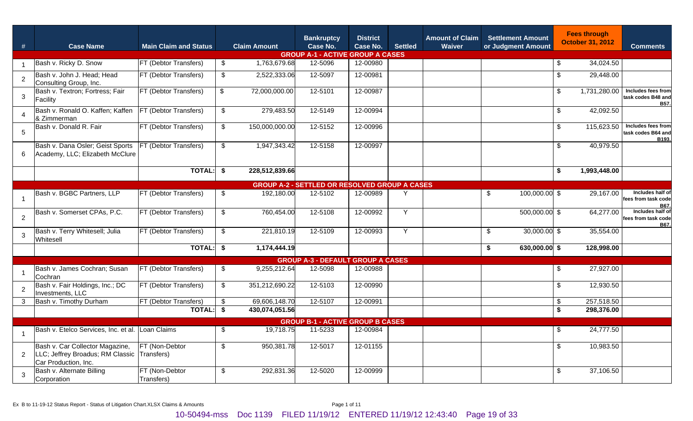| #              | <b>Case Name</b>                                                                                       | <b>Main Claim and Status</b> |                           | <b>Claim Amount</b> | <b>Bankruptcy</b><br>Case No.<br><b>GROUP A-1 - ACTIVE GROUP A CASES</b> | <b>District</b><br>Case No. | <b>Settled</b> | <b>Amount of Claim</b><br><b>Waiver</b> | <b>Settlement Amount</b><br>or Judgment Amount |                           | <b>Fees through</b><br><b>October 31, 2012</b> | <b>Comments</b>                                   |
|----------------|--------------------------------------------------------------------------------------------------------|------------------------------|---------------------------|---------------------|--------------------------------------------------------------------------|-----------------------------|----------------|-----------------------------------------|------------------------------------------------|---------------------------|------------------------------------------------|---------------------------------------------------|
|                | Bash v. Ricky D. Snow                                                                                  | FT (Debtor Transfers)        | \$                        | 1,763,679.68        | 12-5096                                                                  | 12-00980                    |                |                                         |                                                | - 35                      | 34,024.50                                      |                                                   |
| 2              | Bash v. John J. Head; Head<br>Consulting Group, Inc.                                                   | FT (Debtor Transfers)        | $\sqrt[6]{2}$             | 2,522,333.06        | 12-5097                                                                  | 12-00981                    |                |                                         |                                                | \$                        | 29,448.00                                      |                                                   |
| 3              | Bash v. Textron; Fortress; Fair<br>Facility                                                            | FT (Debtor Transfers)        | $\boldsymbol{\mathsf{S}}$ | 72,000,000.00       | 12-5101                                                                  | 12-00987                    |                |                                         |                                                | \$                        | 1,731,280.00                                   | Includes fees from<br>task codes B48 and<br>B57.  |
| 4              | Bash v. Ronald O. Kaffen; Kaffen<br>& Zimmerman                                                        | FT (Debtor Transfers)        | $\frac{1}{2}$             | 279,483.50          | 12-5149                                                                  | 12-00994                    |                |                                         |                                                | $\boldsymbol{\mathsf{S}}$ | 42,092.50                                      |                                                   |
| 5              | Bash v. Donald R. Fair                                                                                 | FT (Debtor Transfers)        | $\sqrt[6]{2}$             | 150,000,000.00      | 12-5152                                                                  | 12-00996                    |                |                                         |                                                | $\boldsymbol{\mathsf{S}}$ | 115,623.50                                     | Includes fees from<br>task codes B64 and<br>B193. |
| 6              | Bash v. Dana Osler; Geist Sports<br>Academy, LLC; Elizabeth McClure                                    | FT (Debtor Transfers)        | $\sqrt[6]{2}$             | 1,947,343.42        | 12-5158                                                                  | 12-00997                    |                |                                         |                                                | \$                        | 40,979.50                                      |                                                   |
|                |                                                                                                        | TOTAL:                       |                           | 228,512,839.66      |                                                                          |                             |                |                                         |                                                | \$                        | 1,993,448.00                                   |                                                   |
|                |                                                                                                        |                              |                           |                     | <b>GROUP A-2 - SETTLED OR RESOLVED GROUP A CASES</b>                     |                             |                |                                         |                                                |                           |                                                |                                                   |
|                | Bash v. BGBC Partners, LLP                                                                             | FT (Debtor Transfers)        | \$                        | 192,180.00          | 12-5102                                                                  | 12-00989                    | Υ              |                                         | $\boldsymbol{\mathsf{S}}$<br>100,000.00 \$     |                           | 29,167.00                                      | Includes half of<br>fees from task code<br>B67.   |
| $\overline{2}$ | Bash v. Somerset CPAs, P.C.                                                                            | FT (Debtor Transfers)        | $\sqrt[6]{2}$             | 760,454.00          | 12-5108                                                                  | 12-00992                    | Y              |                                         | 500,000.00 \$                                  |                           | 64,277.00                                      | Includes half of<br>fees from task code<br>B67.   |
| 3              | Bash v. Terry Whitesell; Julia<br>Whitesell                                                            | FT (Debtor Transfers)        | $\sqrt[6]{2}$             | 221,810.19          | 12-5109                                                                  | 12-00993                    | Y              |                                         | \$<br>$30,000.00$ \$                           |                           | 35,554.00                                      |                                                   |
|                |                                                                                                        | <b>TOTAL:</b>                | \$                        | 1,174,444.19        |                                                                          |                             |                |                                         | \$<br>630,000.00 \$                            |                           | 128,998.00                                     |                                                   |
|                |                                                                                                        |                              |                           |                     | <b>GROUP A-3 - DEFAULT GROUP A CASES</b>                                 |                             |                |                                         |                                                |                           |                                                |                                                   |
|                | Bash v. James Cochran; Susan<br>Cochran                                                                | FT (Debtor Transfers)        | \$                        | 9,255,212.64        | 12-5098                                                                  | 12-00988                    |                |                                         |                                                | - 35                      | 27,927.00                                      |                                                   |
| 2              | Bash v. Fair Holdings, Inc.; DC<br>Investments, LLC                                                    | FT (Debtor Transfers)        | \$                        | 351,212,690.22      | 12-5103                                                                  | 12-00990                    |                |                                         |                                                | \$                        | 12,930.50                                      |                                                   |
| 3              | Bash v. Timothy Durham                                                                                 | FT (Debtor Transfers)        | \$                        | 69,606,148.70       | 12-5107                                                                  | 12-00991                    |                |                                         |                                                | - \$                      | 257,518.50                                     |                                                   |
|                |                                                                                                        | <b>TOTAL:</b>                | \$                        | 430,074,051.56      |                                                                          |                             |                |                                         |                                                | \$                        | 298,376.00                                     |                                                   |
|                |                                                                                                        |                              |                           |                     | <b>GROUP B-1 - ACTIVE GROUP B CASES</b>                                  |                             |                |                                         |                                                |                           |                                                |                                                   |
|                | Bash v. Etelco Services, Inc. et al. Loan Claims                                                       |                              | \$                        | 19,718.75           | 11-5233                                                                  | 12-00984                    |                |                                         |                                                | \$                        | 24,777.50                                      |                                                   |
| 2              | Bash v. Car Collector Magazine,<br>LLC; Jeffrey Broadus; RM Classic Transfers)<br>Car Production, Inc. | FT (Non-Debtor               | \$                        | 950,381.78          | 12-5017                                                                  | 12-01155                    |                |                                         |                                                | $\boldsymbol{\mathsf{S}}$ | 10,983.50                                      |                                                   |
| 3              | Bash v. Alternate Billing<br>Corporation                                                               | FT (Non-Debtor<br>Transfers) | $\frac{1}{2}$             | 292,831.36          | 12-5020                                                                  | 12-00999                    |                |                                         |                                                | \$                        | 37,106.50                                      |                                                   |

Ex B to 11-19-12 Status Report - Status of Litigation Chart.XLSX Claims & Amounts Page 1 of 11

10-50494-mss Doc 1139 FILED 11/19/12 ENTERED 11/19/12 12:43:40 Page 19 of 33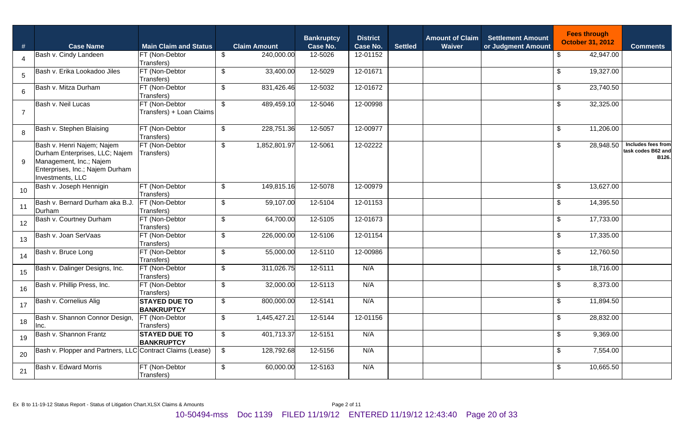| #              | <b>Case Name</b>                                                                                                                               | <b>Main Claim and Status</b>               |                           | <b>Claim Amount</b> | <b>Bankruptcy</b><br><b>Case No.</b> | <b>District</b><br>Case No. | <b>Settled</b> | <b>Amount of Claim</b><br>Waiver | <b>Settlement Amount</b><br>or Judgment Amount |                         | <b>Fees through</b><br><b>October 31, 2012</b> | <b>Comments</b>                                   |
|----------------|------------------------------------------------------------------------------------------------------------------------------------------------|--------------------------------------------|---------------------------|---------------------|--------------------------------------|-----------------------------|----------------|----------------------------------|------------------------------------------------|-------------------------|------------------------------------------------|---------------------------------------------------|
| 4              | Bash v. Cindy Landeen                                                                                                                          | FT (Non-Debtor<br>Transfers)               | $\sqrt[6]{2}$             | 240,000.00          | 12-5026                              | 12-01152                    |                |                                  |                                                | \$                      | 42,947.00                                      |                                                   |
| 5              | Bash v. Erika Lookadoo Jiles                                                                                                                   | FT (Non-Debtor<br>Transfers)               | $\frac{1}{2}$             | 33,400.00           | 12-5029                              | 12-01671                    |                |                                  |                                                | \$                      | 19,327.00                                      |                                                   |
| 6              | Bash v. Mitza Durham                                                                                                                           | FT (Non-Debtor<br>Transfers)               | $\sqrt[6]{2}$             | 831,426.46          | 12-5032                              | 12-01672                    |                |                                  |                                                | $\sqrt[6]{\frac{1}{2}}$ | 23,740.50                                      |                                                   |
| $\overline{7}$ | Bash v. Neil Lucas                                                                                                                             | FT (Non-Debtor<br>Transfers) + Loan Claims | $\overline{\mathbf{e}}$   | 489,459.10          | 12-5046                              | 12-00998                    |                |                                  |                                                | \$                      | 32,325.00                                      |                                                   |
| 8              | Bash v. Stephen Blaising                                                                                                                       | FT (Non-Debtor<br>Transfers)               | $\overline{\mathfrak{s}}$ | 228,751.36          | 12-5057                              | 12-00977                    |                |                                  |                                                | $\sqrt[6]{\frac{1}{2}}$ | 11,206.00                                      |                                                   |
| 9              | Bash v. Henri Najem; Najem<br>Durham Enterprises, LLC; Najem<br>Management, Inc.; Najem<br>Enterprises, Inc.; Najem Durham<br>Investments, LLC | FT (Non-Debtor<br>Transfers)               | $\sqrt[6]{2}$             | 1,852,801.97        | 12-5061                              | 12-02222                    |                |                                  |                                                | \$                      | 28,948.50                                      | Includes fees from<br>task codes B62 and<br>B126. |
| 10             | Bash v. Joseph Hennigin                                                                                                                        | FT (Non-Debtor<br>Transfers)               | $\sqrt[6]{2}$             | 149,815.16          | 12-5078                              | 12-00979                    |                |                                  |                                                | \$                      | 13,627.00                                      |                                                   |
| 11             | Bash v. Bernard Durham aka B.J.<br>Durham                                                                                                      | FT (Non-Debtor<br>Transfers)               | $\mathfrak{L}$            | 59,107.00           | 12-5104                              | 12-01153                    |                |                                  |                                                | \$                      | 14,395.50                                      |                                                   |
| 12             | Bash v. Courtney Durham                                                                                                                        | FT (Non-Debtor<br>Transfers)               | $\sqrt[6]{2}$             | 64,700.00           | 12-5105                              | 12-01673                    |                |                                  |                                                | $\sqrt[6]{\frac{1}{2}}$ | 17,733.00                                      |                                                   |
| 13             | Bash v. Joan SerVaas                                                                                                                           | FT (Non-Debtor<br>Transfers)               | $\sqrt[6]{2}$             | 226,000.00          | 12-5106                              | 12-01154                    |                |                                  |                                                | \$                      | 17,335.00                                      |                                                   |
| 14             | Bash v. Bruce Long                                                                                                                             | FT (Non-Debtor<br>Transfers)               | $\mathfrak{L}$            | 55,000.00           | 12-5110                              | 12-00986                    |                |                                  |                                                | \$                      | 12,760.50                                      |                                                   |
| 15             | Bash v. Dalinger Designs, Inc.                                                                                                                 | FT (Non-Debtor<br>Transfers)               | \$                        | 311,026.75          | 12-5111                              | N/A                         |                |                                  |                                                | \$                      | 18,716.00                                      |                                                   |
| 16             | Bash v. Phillip Press, Inc.                                                                                                                    | FT (Non-Debtor<br>Transfers)               | $\mathfrak{L}$            | 32,000.00           | 12-5113                              | N/A                         |                |                                  |                                                | \$                      | 8,373.00                                       |                                                   |
| 17             | Bash v. Cornelius Alig                                                                                                                         | <b>STAYED DUE TO</b><br><b>BANKRUPTCY</b>  | $\sqrt[6]{2}$             | 800,000.00          | 12-5141                              | N/A                         |                |                                  |                                                | \$                      | 11,894.50                                      |                                                   |
| 18             | Bash v. Shannon Connor Design,<br>Inc.                                                                                                         | FT (Non-Debtor<br>Transfers)               | $\mathfrak{L}$            | 1,445,427.21        | 12-5144                              | 12-01156                    |                |                                  |                                                | \$                      | 28,832.00                                      |                                                   |
| 19             | Bash v. Shannon Frantz                                                                                                                         | <b>STAYED DUE TO</b><br><b>BANKRUPTCY</b>  | $\sqrt[6]{2}$             | 401,713.37          | 12-5151                              | N/A                         |                |                                  |                                                | \$                      | 9,369.00                                       |                                                   |
| 20             | Bash v. Plopper and Partners, LLC Contract Claims (Lease)                                                                                      |                                            | $\sqrt[6]{2}$             | 128,792.68          | 12-5156                              | N/A                         |                |                                  |                                                | \$                      | 7,554.00                                       |                                                   |
| 21             | Bash v. Edward Morris                                                                                                                          | FT (Non-Debtor<br>Transfers)               | $\frac{1}{2}$             | 60,000.00           | 12-5163                              | N/A                         |                |                                  |                                                | $\sqrt[6]{\frac{1}{2}}$ | 10,665.50                                      |                                                   |

Ex B to 11-19-12 Status Report - Status of Litigation Chart.XLSX Claims & Amounts Page 2 of 11

10-50494-mss Doc 1139 FILED 11/19/12 ENTERED 11/19/12 12:43:40 Page 20 of 33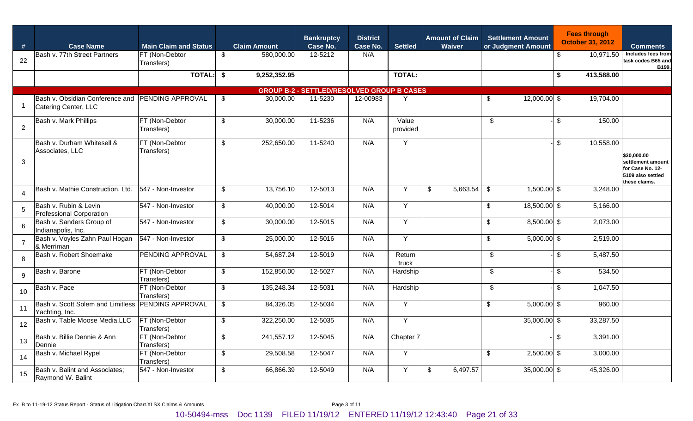| #              | <b>Case Name</b>                                                         | <b>Main Claim and Status</b> |                           | <b>Claim Amount</b> | <b>Bankruptcy</b><br>Case No.                     | <b>District</b><br>Case No. | <b>Settled</b>    | <b>Amount of Claim</b><br>Waiver |          | <b>Settlement Amount</b><br>or Judgment Amount |                |               | <b>Fees through</b><br><b>October 31, 2012</b> | <b>Comments</b>                                                                            |
|----------------|--------------------------------------------------------------------------|------------------------------|---------------------------|---------------------|---------------------------------------------------|-----------------------------|-------------------|----------------------------------|----------|------------------------------------------------|----------------|---------------|------------------------------------------------|--------------------------------------------------------------------------------------------|
| 22             | Bash v. 77th Street Partners                                             | FT (Non-Debtor<br>Transfers) | \$                        | 580,000.00          | 12-5212                                           | N/A                         |                   |                                  |          |                                                |                | \$            | 10,971.50                                      | Includes fees from<br>task codes B65 and<br>B199.                                          |
|                |                                                                          | <b>TOTAL:</b>                | \$                        | 9,252,352.95        |                                                   |                             | <b>TOTAL:</b>     |                                  |          |                                                |                | \$            | 413,588.00                                     |                                                                                            |
|                |                                                                          |                              |                           |                     | <b>GROUP B-2 - SETTLED/RESOLVED GROUP B CASES</b> |                             |                   |                                  |          |                                                |                |               |                                                |                                                                                            |
|                | Bash v. Obsidian Conference and PENDING APPROVAL<br>Catering Center, LLC |                              | \$                        | 30,000.00           | 11-5230                                           | 12-00983                    |                   |                                  |          | \$                                             | $12,000.00$ \$ |               | 19,704.00                                      |                                                                                            |
| $\overline{2}$ | Bash v. Mark Phillips                                                    | FT (Non-Debtor<br>Transfers) | \$                        | 30,000.00           | 11-5236                                           | N/A                         | Value<br>provided |                                  |          | \$                                             |                | \$            | 150.00                                         |                                                                                            |
| 3              | Bash v. Durham Whitesell &<br>Associates, LLC                            | FT (Non-Debtor<br>Transfers) | $\mathfrak{L}$            | 252,650.00          | 11-5240                                           | N/A                         | Y                 |                                  |          |                                                |                | $\sqrt[6]{2}$ | 10,558.00                                      | \$30,000.00<br>settlement amount<br>for Case No. 12-<br>5109 also settled<br>these claims. |
| 4              | Bash v. Mathie Construction, Ltd.                                        | 547 - Non-Investor           | \$                        | 13,756.10           | 12-5013                                           | N/A                         | Y                 | \$                               | 5,663.54 | \$                                             | $1,500.00$ \$  |               | 3,248.00                                       |                                                                                            |
| 5              | Bash v. Rubin & Levin<br><b>Professional Corporation</b>                 | 547 - Non-Investor           | \$                        | 40,000.00           | 12-5014                                           | N/A                         | Y                 |                                  |          | \$                                             | 18,500.00 \$   |               | 5,166.00                                       |                                                                                            |
| 6              | Bash v. Sanders Group of<br>Indianapolis, Inc.                           | 547 - Non-Investor           | \$                        | 30,000.00           | 12-5015                                           | N/A                         | Y                 |                                  |          | \$                                             | 8,500.00 \$    |               | 2,073.00                                       |                                                                                            |
|                | Bash v. Voyles Zahn Paul Hogan<br>& Merriman                             | 547 - Non-Investor           | \$                        | 25,000.00           | 12-5016                                           | N/A                         | Y                 |                                  |          | \$                                             | $5,000.00$ \$  |               | 2,519.00                                       |                                                                                            |
| 8              | Bash v. Robert Shoemake                                                  | <b>PENDING APPROVAL</b>      | $\boldsymbol{\mathsf{S}}$ | 54,687.24           | 12-5019                                           | N/A                         | Return<br>truck   |                                  |          | \$                                             |                | $\sqrt[6]{2}$ | 5,487.50                                       |                                                                                            |
| 9              | Bash v. Barone                                                           | FT (Non-Debtor<br>Transfers) | $\boldsymbol{\mathsf{S}}$ | 152,850.00          | 12-5027                                           | N/A                         | Hardship          |                                  |          | \$                                             |                | \$            | 534.50                                         |                                                                                            |
| 10             | Bash v. Pace                                                             | FT (Non-Debtor<br>Transfers) | $\boldsymbol{\mathsf{S}}$ | 135,248.34          | 12-5031                                           | N/A                         | Hardship          |                                  |          | \$                                             |                | \$            | 1,047.50                                       |                                                                                            |
| 11             | Bash v. Scott Solem and Limitless PENDING APPROVAL<br>Yachting, Inc.     |                              | $\boldsymbol{\mathsf{S}}$ | 84,326.05           | 12-5034                                           | N/A                         | Y                 |                                  |          | \$                                             | $5,000.00$ \$  |               | 960.00                                         |                                                                                            |
| 12             | Bash v. Table Moose Media, LLC                                           | FT (Non-Debtor<br>Transfers) | $\boldsymbol{\mathsf{S}}$ | 322,250.00          | 12-5035                                           | N/A                         | Y                 |                                  |          |                                                | 35,000.00 \$   |               | 33,287.50                                      |                                                                                            |
| 13             | Bash v. Billie Dennie & Ann<br>Dennie                                    | FT (Non-Debtor<br>Transfers) | \$                        | 241,557.12          | 12-5045                                           | N/A                         | Chapter 7         |                                  |          |                                                |                | $\sqrt[6]{3}$ | 3,391.00                                       |                                                                                            |
| 14             | Bash v. Michael Rypel                                                    | FT (Non-Debtor<br>Transfers) | $\sqrt[6]{\frac{1}{2}}$   | 29,508.58           | $\overline{12} - 5047$                            | N/A                         | $\overline{Y}$    |                                  |          | $\sqrt[6]{2}$                                  | $2,500.00$ \$  |               | 3,000.00                                       |                                                                                            |
| 15             | Bash v. Balint and Associates;<br>Raymond W. Balint                      | 547 - Non-Investor           | $\sqrt[6]{\frac{1}{2}}$   | 66,866.39           | 12-5049                                           | N/A                         | $\overline{Y}$    | $\sqrt[6]{\frac{1}{2}}$          | 6,497.57 |                                                | $35,000.00$ \$ |               | 45,326.00                                      |                                                                                            |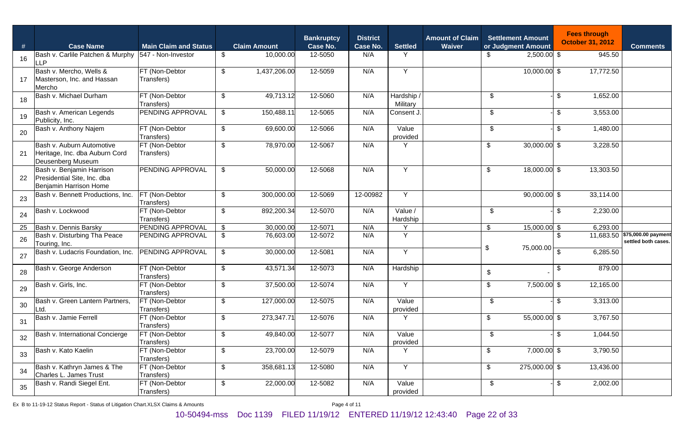| #  | <b>Case Name</b>                                                                   | <b>Main Claim and Status</b> |                                           | <b>Claim Amount</b> | <b>Bankruptcy</b><br><b>Case No.</b> | <b>District</b><br>Case No. | <b>Settled</b>       | <b>Amount of Claim</b><br>Waiver |       | <b>Settlement Amount</b><br>or Judgment Amount |                           | <b>Fees through</b><br><b>October 31, 2012</b> | <b>Comments</b>                                      |
|----|------------------------------------------------------------------------------------|------------------------------|-------------------------------------------|---------------------|--------------------------------------|-----------------------------|----------------------|----------------------------------|-------|------------------------------------------------|---------------------------|------------------------------------------------|------------------------------------------------------|
| 16 | Bash v. Carlile Patchen & Murphy<br><b>LLP</b>                                     | 547 - Non-Investor           | $\sqrt[6]{2}$                             | 10,000.00           | 12-5050                              | N/A                         | Y                    |                                  |       | $2,500.00$ \$                                  |                           | 945.50                                         |                                                      |
| 17 | Bash v. Mercho, Wells &<br>Masterson, Inc. and Hassan<br>Mercho                    | FT (Non-Debtor<br>Transfers) | $\sqrt[6]{2}$                             | 1,437,206.00        | 12-5059                              | N/A                         | $\overline{Y}$       |                                  |       | $10,000.00$ \$                                 |                           | 17,772.50                                      |                                                      |
| 18 | Bash v. Michael Durham                                                             | FT (Non-Debtor<br>Transfers) | \$                                        | 49,713.12           | 12-5060                              | N/A                         | Hardship<br>Military |                                  | $\$\$ |                                                | $\sqrt[6]{2}$             | 1,652.00                                       |                                                      |
| 19 | Bash v. American Legends<br>Publicity, Inc.                                        | PENDING APPROVAL             | $\boldsymbol{\mathsf{S}}$                 | 150,488.11          | 12-5065                              | N/A                         | Consent J.           |                                  | $\$\$ |                                                | $\boldsymbol{\mathsf{S}}$ | 3,553.00                                       |                                                      |
| 20 | Bash v. Anthony Najem                                                              | FT (Non-Debtor<br>Transfers) | $\sqrt[6]{2}$                             | 69,600.00           | 12-5066                              | N/A                         | Value<br>provided    |                                  | \$    |                                                | $\sqrt[6]{2}$             | 1,480.00                                       |                                                      |
| 21 | Bash v. Auburn Automotive<br>Heritage, Inc. dba Auburn Cord<br>Deusenberg Museum   | FT (Non-Debtor<br>Transfers) | $\sqrt[6]{2}$                             | 78,970.00           | 12-5067                              | N/A                         | Y                    |                                  | \$    | $30,000.00$ \$                                 |                           | 3,228.50                                       |                                                      |
| 22 | Bash v. Benjamin Harrison<br>Presidential Site, Inc. dba<br>Benjamin Harrison Home | PENDING APPROVAL             | $\sqrt[6]{2}$                             | 50,000.00           | 12-5068                              | N/A                         | Y                    |                                  | \$    | 18,000.00 \$                                   |                           | 13,303.50                                      |                                                      |
| 23 | Bash v. Bennett Productions, Inc.                                                  | FT (Non-Debtor<br>Transfers) | \$                                        | 300,000.00          | 12-5069                              | 12-00982                    | Y                    |                                  |       | $90,000.00$ \$                                 |                           | 33,114.00                                      |                                                      |
| 24 | Bash v. Lockwood                                                                   | FT (Non-Debtor<br>Transfers) | \$                                        | 892,200.34          | 12-5070                              | N/A                         | Value /<br>Hardship  |                                  | $\$\$ |                                                | \$                        | 2,230.00                                       |                                                      |
| 25 | Bash v. Dennis Barsky                                                              | PENDING APPROVAL             | $\sqrt[6]{\frac{1}{2}}$                   | 30,000.00           | 12-5071                              | N/A                         | Υ                    |                                  | \$    | $15,000.00$ \$                                 |                           | 6,293.00                                       |                                                      |
| 26 | Bash v. Disturbing Tha Peace<br>Touring, Inc.                                      | PENDING APPROVAL             | $\sqrt[6]{2}$                             | 76,603.00           | 12-5072                              | N/A                         | Y                    |                                  | \$    | 75,000.00                                      | - \$                      |                                                | 11,683.50 \$75,000.00 payment<br>settled both cases. |
| 27 | Bash v. Ludacris Foundation, Inc.                                                  | <b>PENDING APPROVAL</b>      | $\sqrt[6]{2}$                             | 30,000.00           | 12-5081                              | N/A                         | Y                    |                                  |       |                                                | $\mathfrak{L}$            | 6,285.50                                       |                                                      |
| 28 | Bash v. George Anderson                                                            | FT (Non-Debtor<br>Transfers) | $\sqrt[6]{2}$                             | 43,571.34           | 12-5073                              | N/A                         | Hardship             |                                  | $\,$  |                                                | \$                        | 879.00                                         |                                                      |
| 29 | Bash v. Girls, Inc.                                                                | FT (Non-Debtor<br>Transfers) | $\sqrt[6]{\frac{1}{2}}$                   | 37,500.00           | 12-5074                              | N/A                         | Y                    |                                  | \$    | 7,500.00 \$                                    |                           | 12,165.00                                      |                                                      |
| 30 | Bash v. Green Lantern Partners,<br>Ltd.                                            | FT (Non-Debtor<br>Transfers) | $\boldsymbol{\mathsf{S}}$                 | 127,000.00          | 12-5075                              | N/A                         | Value<br>provided    |                                  | $\$\$ |                                                | $\sqrt[6]{2}$             | 3,313.00                                       |                                                      |
| 31 | Bash v. Jamie Ferrell                                                              | FT (Non-Debtor<br>Transfers) | $\sqrt[6]{2}$                             | 273,347.71          | 12-5076                              | N/A                         | Y                    |                                  | \$    | 55,000.00 \$                                   |                           | 3,767.50                                       |                                                      |
| 32 | Bash v. International Concierge                                                    | FT (Non-Debtor<br>Transfers) | $\, \, \raisebox{12pt}{$\scriptstyle \$}$ | 49,840.00           | 12-5077                              | N/A                         | Value<br>provided    |                                  | \$    |                                                | -1\$                      | 1,044.50                                       |                                                      |
| 33 | Bash v. Kato Kaelin                                                                | FT (Non-Debtor<br>Transfers) | $\sqrt[6]{2}$                             | 23,700.00           | 12-5079                              | N/A                         | Y                    |                                  | \$    | $7,000.00$ \$                                  |                           | 3,790.50                                       |                                                      |
| 34 | Bash v. Kathryn James & The<br>Charles L. James Trust                              | FT (Non-Debtor<br>Transfers) | $\boldsymbol{\mathsf{\$}}$                | 358,681.13          | 12-5080                              | N/A                         | $\overline{Y}$       |                                  | \$    | 275,000.00 \$                                  |                           | 13,436.00                                      |                                                      |
| 35 | Bash v. Randi Siegel Ent.                                                          | FT (Non-Debtor<br>Transfers) | \$                                        | 22,000.00           | 12-5082                              | N/A                         | Value<br>provided    |                                  | \$    |                                                | \$                        | 2,002.00                                       |                                                      |

Ex B to 11-19-12 Status Report - Status of Litigation Chart.XLSX Claims & Amounts Page 4 of 11

### 10-50494-mss Doc 1139 FILED 11/19/12 ENTERED 11/19/12 12:43:40 Page 22 of 33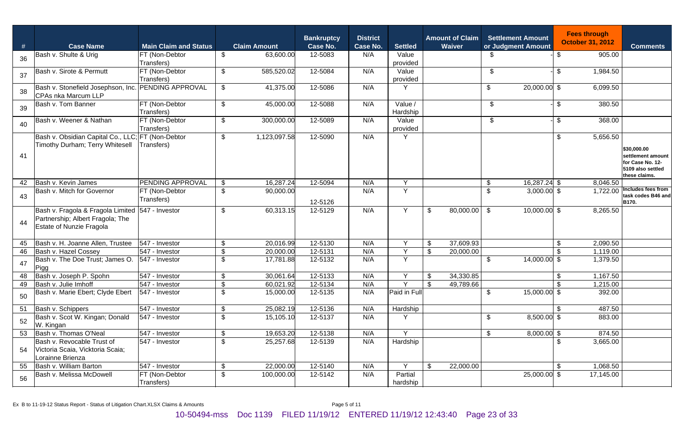| #  | <b>Case Name</b>                                                                                                 | <b>Main Claim and Status</b> |                           | <b>Claim Amount</b> | <b>Bankruptcy</b><br>Case No. | <b>District</b><br>Case No. | <b>Settled</b>      | <b>Amount of Claim</b><br>Waiver |                           | <b>Settlement Amount</b><br>or Judgment Amount |                           | <b>Fees through</b><br><b>October 31, 2012</b> | <b>Comments</b>                                                             |
|----|------------------------------------------------------------------------------------------------------------------|------------------------------|---------------------------|---------------------|-------------------------------|-----------------------------|---------------------|----------------------------------|---------------------------|------------------------------------------------|---------------------------|------------------------------------------------|-----------------------------------------------------------------------------|
|    | Bash v. Shulte & Urig                                                                                            | FT (Non-Debtor               | \$                        | 63,600.00           | 12-5083                       | N/A                         | Value               |                                  | \$.                       |                                                | \$                        | 905.00                                         |                                                                             |
| 36 |                                                                                                                  | Transfers)                   |                           |                     |                               |                             | provided            |                                  |                           |                                                |                           |                                                |                                                                             |
| 37 | Bash v. Sirote & Permutt                                                                                         | FT (Non-Debtor               | \$                        | 585,520.02          | 12-5084                       | N/A                         | Value               |                                  | \$                        |                                                | $\boldsymbol{\mathsf{S}}$ | 1,984.50                                       |                                                                             |
|    |                                                                                                                  | Transfers)                   |                           |                     |                               |                             | provided            |                                  |                           |                                                |                           |                                                |                                                                             |
| 38 | Bash v. Stonefield Josephson, Inc.<br><b>CPAs nka Marcum LLP</b>                                                 | <b>PENDING APPROVAL</b>      | $\boldsymbol{\mathsf{S}}$ | 41,375.00           | 12-5086                       | N/A                         | Υ                   |                                  | $\frac{1}{2}$             | 20,000.00 \$                                   |                           | 6,099.50                                       |                                                                             |
| 39 | Bash v. Tom Banner                                                                                               | FT (Non-Debtor<br>Transfers) | $\boldsymbol{\mathsf{S}}$ | 45,000.00           | 12-5088                       | N/A                         | Value /<br>Hardship |                                  | \$                        |                                                | \$                        | 380.50                                         |                                                                             |
| 40 | Bash v. Weener & Nathan                                                                                          | FT (Non-Debtor<br>Transfers) | \$                        | 300,000.00          | 12-5089                       | N/A                         | Value<br>provided   |                                  | \$                        |                                                | \$                        | 368.00                                         |                                                                             |
|    | Bash v. Obsidian Capital Co., LLC; FT (Non-Debtor                                                                |                              | \$                        | 1,123,097.58        | 12-5090                       | N/A                         | Υ                   |                                  |                           |                                                | $\mathfrak{F}$            | 5,656.50                                       |                                                                             |
|    | Timothy Durham; Terry Whitesell                                                                                  | Transfers)                   |                           |                     |                               |                             |                     |                                  |                           |                                                |                           |                                                | \$30,000.00                                                                 |
| 41 |                                                                                                                  |                              |                           |                     |                               |                             |                     |                                  |                           |                                                |                           |                                                | settlement amount<br>for Case No. 12-<br>5109 also settled<br>these claims. |
| 42 | Bash v. Kevin James                                                                                              | <b>PENDING APPROVAL</b>      | \$                        | 16,287.24           | 12-5094                       | N/A                         | Y                   |                                  | \$                        | 16,287.24 \$                                   |                           | 8,046.50                                       |                                                                             |
| 43 | Bash v. Mitch for Governor                                                                                       | FT (Non-Debtor<br>Transfers) | \$                        | 90,000.00           | 12-5126                       | N/A                         | Y                   |                                  | $\sqrt[6]{\frac{1}{2}}$   | $3,000.00$ \$                                  |                           |                                                | 1,722.00 Includes fees from<br>task codes B46 and<br>B170.                  |
| 44 | Bash v. Fragola & Fragola Limited 547 - Investor<br>Partnership; Albert Fragola; The<br>Estate of Nunzie Fragola |                              | \$                        | 60,313.15           | 12-5129                       | N/A                         | Y                   | \$<br>80,000.00                  | \$                        | $10,000.00$ \$                                 |                           | 8,265.50                                       |                                                                             |
| 45 | Bash v. H. Joanne Allen, Trustee                                                                                 | 547 - Investor               | \$                        | 20,016.99           | 12-5130                       | N/A                         | Y                   | \$<br>37,609.93                  |                           |                                                | $\boldsymbol{\mathsf{S}}$ | 2,090.50                                       |                                                                             |
| 46 | Bash v. Hazel Cossey                                                                                             | 547 - Investor               | $\sqrt{2}$                | 20,000.00           | 12-5131                       | N/A                         | $\overline{Y}$      | \$<br>20,000.00                  |                           |                                                | $\mathfrak{s}$            | 1,119.00                                       |                                                                             |
| 47 | Bash v. The Doe Trust; James O.<br>Pigg                                                                          | 547 - Investor               | $\mathfrak s$             | 17,781.88           | 12-5132                       | N/A                         | Y                   |                                  | $\boldsymbol{\mathsf{S}}$ | 14,000.00 \$                                   |                           | 1,379.50                                       |                                                                             |
| 48 | Bash v. Joseph P. Spohn                                                                                          | 547 - Investor               | $\boldsymbol{\mathsf{S}}$ | 30,061.64           | 12-5133                       | N/A                         | Y                   | \$<br>34,330.85                  |                           |                                                | $\sqrt[6]{\frac{1}{2}}$   | 1,167.50                                       |                                                                             |
| 49 | Bash v. Julie Imhoff                                                                                             | 547 - Investor               | $\sqrt{2}$                | 60,021.92           | 12-5134                       | N/A                         | $\mathsf{Y}$        | \$<br>49,789.66                  |                           |                                                | $\mathsf{\$}$             | 1,215.00                                       |                                                                             |
| 50 | Bash v. Marie Ebert; Clyde Ebert                                                                                 | 547 - Investor               | \$                        | 15,000.00           | 12-5135                       | N/A                         | Paid in Full        |                                  | $\frac{1}{2}$             | 15,000.00 \$                                   |                           | 392.00                                         |                                                                             |
| 51 | Bash v. Schippers                                                                                                | 547 - Investor               | $\sqrt{2}$                | 25,082.19           | 12-5136                       | N/A                         | Hardship            |                                  |                           |                                                | $\mathfrak{s}$            | 487.50                                         |                                                                             |
| 52 | Bash v. Scot W. Kingan; Donald                                                                                   | 547 - Investor               | $\mathfrak{L}$            | 15,105.10           | 12-5137                       | N/A                         | Y                   |                                  | \$                        | 8,500.00 \$                                    |                           | 883.00                                         |                                                                             |
|    | W. Kingan                                                                                                        |                              |                           |                     |                               |                             |                     |                                  |                           |                                                |                           |                                                |                                                                             |
|    | 53 Bash v. Thomas O'Neal                                                                                         | 547 - Investor               | $\pmb{\mathfrak{P}}$      | 19,653.20           | 12-5138                       | N/A                         | Y                   |                                  | $\sqrt[6]{2}$             | $8,000.00$ \$                                  |                           | 874.50                                         |                                                                             |
| 54 | Bash v. Revocable Trust of<br>Victoria Scaia, Vicktoria Scaia;<br>Lorainne Brienza                               | 547 - Investor               | $\sqrt{2}$                | 25,257.68           | 12-5139                       | N/A                         | Hardship            |                                  |                           |                                                | $\mathfrak{F}$            | 3,665.00                                       |                                                                             |
|    | 55 Bash v. William Barton                                                                                        | 547 - Investor               | $\boldsymbol{\mathsf{S}}$ | 22,000.00           | 12-5140                       | N/A                         | Y                   | \$<br>22,000.00                  |                           |                                                | \$                        | 1,068.50                                       |                                                                             |
| 56 | Bash v. Melissa McDowell                                                                                         | FT (Non-Debtor<br>Transfers) | $\boldsymbol{\mathsf{S}}$ | 100,000.00          | 12-5142                       | N/A                         | Partial<br>hardship |                                  |                           | 25,000.00 \$                                   |                           | 17,145.00                                      |                                                                             |

Ex B to 11-19-12 Status Report - Status of Litigation Chart.XLSX Claims & Amounts Page 5 of 11

10-50494-mss Doc 1139 FILED 11/19/12 ENTERED 11/19/12 12:43:40 Page 23 of 33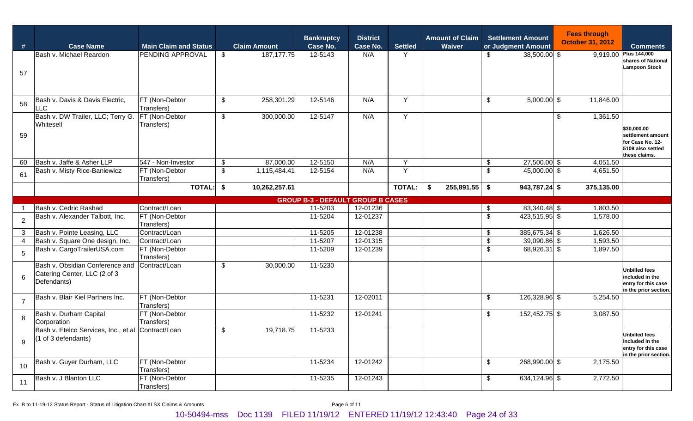| #              | <b>Case Name</b>                                                               | <b>Main Claim and Status</b> | <b>Claim Amount</b> |               | <b>Bankruptcy</b><br>Case No.            | <b>District</b><br>Case No. | <b>Settled</b> | <b>Amount of Claim</b><br>Waiver |                           | <b>Settlement Amount</b><br>or Judgment Amount | <b>Fees through</b><br><b>October 31, 2012</b> |            | <b>Comments</b>                                                                            |
|----------------|--------------------------------------------------------------------------------|------------------------------|---------------------|---------------|------------------------------------------|-----------------------------|----------------|----------------------------------|---------------------------|------------------------------------------------|------------------------------------------------|------------|--------------------------------------------------------------------------------------------|
| 57             | Bash v. Michael Reardon                                                        | PENDING APPROVAL             | \$                  | 187, 177. 75  | 12-5143                                  | N/A                         | Y              |                                  | \$                        | 38,500.00 \$                                   |                                                |            | 9,919.00 Plus 144,000<br>shares of National<br><b>Lampoon Stock</b>                        |
| 58             | Bash v. Davis & Davis Electric,<br><b>LLC</b>                                  | FT (Non-Debtor<br>Transfers) | \$                  | 258,301.29    | 12-5146                                  | N/A                         | Y              |                                  | \$                        | $5,000.00$ \$                                  |                                                | 11,846.00  |                                                                                            |
| 59             | Bash v. DW Trailer, LLC; Terry G.<br>Whitesell                                 | FT (Non-Debtor<br>Transfers) | \$                  | 300,000.00    | 12-5147                                  | N/A                         | Y              |                                  |                           |                                                | $\sqrt[6]{2}$                                  | 1,361.50   | \$30,000.00<br>settlement amount<br>for Case No. 12-<br>5109 also settled<br>these claims. |
| 60             | Bash v. Jaffe & Asher LLP                                                      | 547 - Non-Investor           | $\frac{1}{2}$       | 87,000.00     | 12-5150                                  | N/A                         | Y              |                                  | \$                        | 27,500.00 \$                                   |                                                | 4,051.50   |                                                                                            |
| 61             | Bash v. Misty Rice-Baniewicz                                                   | FT (Non-Debtor<br>Transfers) | $\mathfrak{L}$      | 1,115,484.41  | 12-5154                                  | N/A                         | Y              |                                  | $\sqrt[6]{2}$             | 45,000.00 \$                                   |                                                | 4,651.50   |                                                                                            |
|                |                                                                                | <b>TOTAL:</b>                | \$                  | 10,262,257.61 |                                          |                             | <b>TOTAL:</b>  | 255,891.55<br>\$                 | \$                        | 943,787.24 \$                                  |                                                | 375,135.00 |                                                                                            |
|                |                                                                                |                              |                     |               | <b>GROUP B-3 - DEFAULT GROUP B CASES</b> |                             |                |                                  |                           |                                                |                                                |            |                                                                                            |
|                | Bash v. Cedric Rashad                                                          | Contract/Loan                |                     |               | 11-5203                                  | 12-01236                    |                |                                  | \$                        | 83,340.48 \$                                   |                                                | 1,803.50   |                                                                                            |
| $\overline{2}$ | Bash v. Alexander Talbott, Inc.                                                | FT (Non-Debtor<br>Transfers) |                     |               | 11-5204                                  | 12-01237                    |                |                                  | $\sqrt[6]{\frac{1}{2}}$   | 423,515.95 \$                                  |                                                | 1,578.00   |                                                                                            |
| 3              | Bash v. Pointe Leasing, LLC                                                    | Contract/Loan                |                     |               | 11-5205                                  | 12-01238                    |                |                                  | \$                        | 385,675.34 \$                                  |                                                | 1,626.50   |                                                                                            |
| 4              | Bash v. Square One design, Inc.                                                | Contract/Loan                |                     |               | 11-5207                                  | 12-01315                    |                |                                  | \$                        | 39,090.86 \$                                   |                                                | 1,593.50   |                                                                                            |
| 5              | Bash v. CargoTrailerUSA.com                                                    | FT (Non-Debtor<br>Transfers) |                     |               | 11-5209                                  | 12-01239                    |                |                                  | $\sqrt[6]{2}$             | 68,926.31 \$                                   |                                                | 1,897.50   |                                                                                            |
| 6              | Bash v. Obsidian Conference and<br>Catering Center, LLC (2 of 3<br>Defendants) | Contract/Loan                | $\sqrt{2}$          | 30,000.00     | 11-5230                                  |                             |                |                                  |                           |                                                |                                                |            | <b>Unbilled fees</b><br>included in the<br>entry for this case<br>in the prior section.    |
| $\overline{7}$ | Bash v. Blair Kiel Partners Inc.                                               | FT (Non-Debtor<br>Transfers) |                     |               | 11-5231                                  | 12-02011                    |                |                                  | $\sqrt[6]{2}$             | 126,328.96 \$                                  |                                                | 5,254.50   |                                                                                            |
| 8              | Bash v. Durham Capital<br>Corporation                                          | FT (Non-Debtor<br>Transfers) |                     |               | 11-5232                                  | 12-01241                    |                |                                  | $\boldsymbol{\mathsf{S}}$ | 152,452.75 \$                                  |                                                | 3,087.50   |                                                                                            |
| 9              | Bash v. Etelco Services, Inc., et al. Contract/Loan<br>(1 of 3 defendants)     |                              | $\sqrt{2}$          | 19,718.75     | 11-5233                                  |                             |                |                                  |                           |                                                |                                                |            | <b>Unbilled fees</b><br>included in the<br>entry for this case<br>in the prior section.    |
| 10             | Bash v. Guyer Durham, LLC                                                      | FT (Non-Debtor<br>Transfers) |                     |               | 11-5234                                  | 12-01242                    |                |                                  | $\mathfrak{L}$            | 268,990.00 \$                                  |                                                | 2,175.50   |                                                                                            |
| 11             | Bash v. J Blanton LLC                                                          | FT (Non-Debtor<br>Transfers) |                     |               | 11-5235                                  | 12-01243                    |                |                                  | $\mathfrak{P}$            | 634,124.96 \$                                  |                                                | 2,772.50   |                                                                                            |

Ex B to 11-19-12 Status Report - Status of Litigation Chart.XLSX Claims & Amounts Page 6 of 11

10-50494-mss Doc 1139 FILED 11/19/12 ENTERED 11/19/12 12:43:40 Page 24 of 33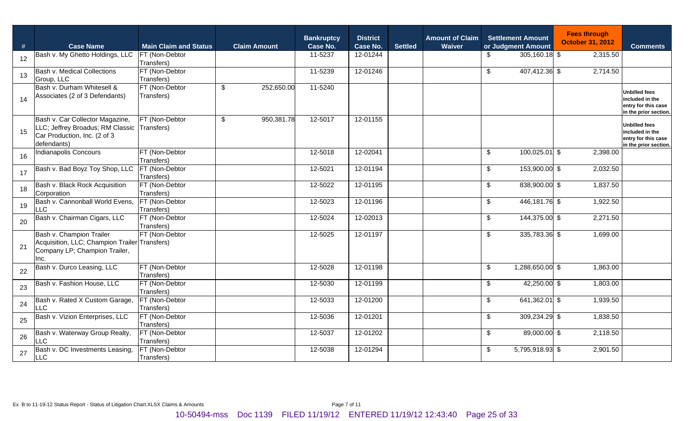| #                 | <b>Case Name</b>                                                                                                   | <b>Main Claim and Status</b>        | <b>Claim Amount</b>         | <b>Bankruptcy</b><br>Case No. | <b>District</b><br>Case No. | <b>Settled</b> | <b>Amount of Claim</b><br>Waiver |                           | <b>Settlement Amount</b><br>or Judgment Amount | <b>Fees through</b><br><b>October 31, 2012</b> | <b>Comments</b>                                                                         |
|-------------------|--------------------------------------------------------------------------------------------------------------------|-------------------------------------|-----------------------------|-------------------------------|-----------------------------|----------------|----------------------------------|---------------------------|------------------------------------------------|------------------------------------------------|-----------------------------------------------------------------------------------------|
| $12 \overline{ }$ | Bash v. My Ghetto Holdings, LLC                                                                                    | <b>FT</b> (Non-Debtor<br>Transfers) |                             | 11-5237                       | 12-01244                    |                |                                  | \$                        | $305,160.18$ \$                                | 2,315.50                                       |                                                                                         |
| 13                | Bash v. Medical Collections<br>Group, LLC                                                                          | FT (Non-Debtor<br>Transfers)        |                             | 11-5239                       | 12-01246                    |                |                                  | $\sqrt[6]{2}$             | 407,412.36 \$                                  | $\overline{2,}714.50$                          |                                                                                         |
| 14                | Bash v. Durham Whitesell &<br>Associates (2 of 3 Defendants)                                                       | FT (Non-Debtor<br>Transfers)        | $\sqrt{2}$<br>252,650.00    | 11-5240                       |                             |                |                                  |                           |                                                |                                                | <b>Unbilled fees</b><br>included in the<br>entry for this case<br>in the prior section. |
| 15                | Bash v. Car Collector Magazine,<br>LLC; Jeffrey Broadus; RM Classic<br>Car Production, Inc. (2 of 3<br>defendants) | FT (Non-Debtor<br>Transfers)        | $\sqrt[6]{2}$<br>950,381.78 | 12-5017                       | 12-01155                    |                |                                  |                           |                                                |                                                | <b>Unbilled fees</b><br>included in the<br>entry for this case<br>in the prior section. |
| 16                | <b>Indianapolis Concours</b>                                                                                       | FT (Non-Debtor<br>Transfers)        |                             | 12-5018                       | 12-02041                    |                |                                  | $\sqrt[6]{2}$             | $100,025.01$ \$                                | 2,398.00                                       |                                                                                         |
| 17                | Bash v. Bad Boyz Toy Shop, LLC                                                                                     | FT (Non-Debtor<br>Transfers)        |                             | 12-5021                       | 12-01194                    |                |                                  | $\mathfrak{P}$            | 153,900.00 \$                                  | 2,032.50                                       |                                                                                         |
| 18                | Bash v. Black Rock Acquisition<br>Corporation                                                                      | FT (Non-Debtor<br>Transfers)        |                             | 12-5022                       | 12-01195                    |                |                                  | $\sqrt[6]{2}$             | 838,900.00 \$                                  | 1,837.50                                       |                                                                                         |
| 19                | Bash v. Cannonball World Evens, FT (Non-Debtor<br><b>LLC</b>                                                       | Transfers)                          |                             | 12-5023                       | 12-01196                    |                |                                  | $\sqrt[6]{2}$             | 446,181.76 \$                                  | 1,922.50                                       |                                                                                         |
| 20                | Bash v. Chairman Cigars, LLC                                                                                       | FT (Non-Debtor<br>Transfers)        |                             | 12-5024                       | 12-02013                    |                |                                  | $\mathfrak{S}$            | 144,375.00 \$                                  | 2,271.50                                       |                                                                                         |
| 21                | Bash v. Champion Trailer<br>Acquisition, LLC; Champion Trailer Transfers)<br>Company LP; Champion Trailer,<br>Inc. | FT (Non-Debtor                      |                             | 12-5025                       | 12-01197                    |                |                                  | $\sqrt[6]{2}$             | 335,783.36 \$                                  | 1,699.00                                       |                                                                                         |
| 22                | Bash v. Durco Leasing, LLC                                                                                         | FT (Non-Debtor<br>Transfers)        |                             | 12-5028                       | 12-01198                    |                |                                  | $\boldsymbol{\mathsf{S}}$ | 1,288,650.00 \$                                | 1,863.00                                       |                                                                                         |
| 23                | Bash v. Fashion House, LLC                                                                                         | FT (Non-Debtor<br>Transfers)        |                             | 12-5030                       | 12-01199                    |                |                                  | $\sqrt[6]{2}$             | 42,250.00 \$                                   | 1,803.00                                       |                                                                                         |
| 24                | Bash v. Rated X Custom Garage,<br>LLC                                                                              | FT (Non-Debtor<br>Transfers)        |                             | 12-5033                       | 12-01200                    |                |                                  | $\sqrt[6]{\frac{1}{2}}$   | 641,362.01 \$                                  | 1,939.50                                       |                                                                                         |
| 25                | Bash v. Vizion Enterprises, LLC                                                                                    | FT (Non-Debtor<br>Transfers)        |                             | 12-5036                       | 12-01201                    |                |                                  | \$                        | 309,234.29 \$                                  | 1,838.50                                       |                                                                                         |
| 26                | Bash v. Waterway Group Realty,<br><b>LLC</b>                                                                       | FT (Non-Debtor<br>Transfers)        |                             | 12-5037                       | 12-01202                    |                |                                  | $\sqrt[6]{2}$             | 89,000.00 \$                                   | 2,118.50                                       |                                                                                         |
| 27                | Bash v. DC Investments Leasing,<br><b>LLC</b>                                                                      | FT (Non-Debtor<br>Transfers)        |                             | 12-5038                       | 12-01294                    |                |                                  | $\sqrt[6]{2}$             | 5,795,918.93 \$                                | 2,901.50                                       |                                                                                         |

Ex B to 11-19-12 Status Report - Status of Litigation Chart.XLSX Claims & Amounts Page 7 of 11

10-50494-mss Doc 1139 FILED 11/19/12 ENTERED 11/19/12 12:43:40 Page 25 of 33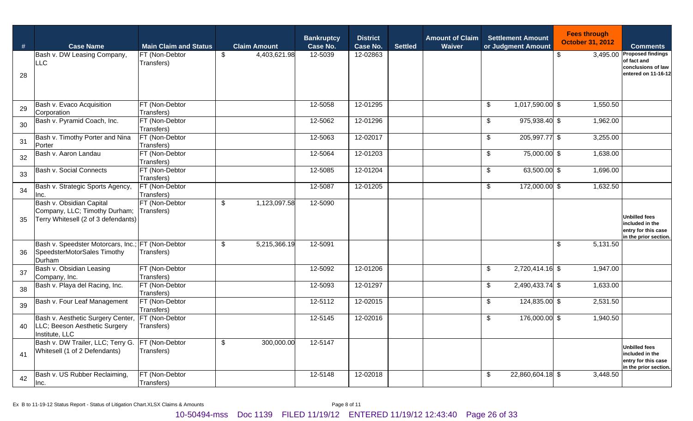| $\#$ | <b>Case Name</b>                                                                                 | <b>Main Claim and Status</b> | <b>Claim Amount</b>                       | <b>Bankruptcy</b><br>Case No. | <b>District</b><br>Case No. | <b>Settled</b> | <b>Amount of Claim</b><br>Waiver | <b>Settlement Amount</b><br>or Judgment Amount | <b>Fees through</b><br><b>October 31, 2012</b> | <b>Comments</b>                                                                         |
|------|--------------------------------------------------------------------------------------------------|------------------------------|-------------------------------------------|-------------------------------|-----------------------------|----------------|----------------------------------|------------------------------------------------|------------------------------------------------|-----------------------------------------------------------------------------------------|
| 28   | Bash v. DW Leasing Company,<br>LLC                                                               | FT (Non-Debtor<br>Transfers) | $\sqrt[6]{2}$<br>4,403,621.98             | 12-5039                       | 12-02863                    |                |                                  |                                                | $\boldsymbol{\mathsf{S}}$                      | 3,495.00 Proposed findings<br>of fact and<br>conclusions of law<br>entered on 11-16-12  |
| 29   | Bash v. Evaco Acquisition<br>Corporation                                                         | FT (Non-Debtor<br>Transfers) |                                           | 12-5058                       | 12-01295                    |                |                                  | 1,017,590.00 \$<br>\$                          | 1,550.50                                       |                                                                                         |
| 30   | Bash v. Pyramid Coach, Inc.                                                                      | FT (Non-Debtor<br>Transfers) |                                           | 12-5062                       | 12-01296                    |                |                                  | 975,938.40 \$<br>\$                            | 1,962.00                                       |                                                                                         |
| 31   | Bash v. Timothy Porter and Nina<br>Porter                                                        | FT (Non-Debtor<br>Transfers) |                                           | 12-5063                       | 12-02017                    |                |                                  | 205,997.77 \$<br>\$                            | $\overline{3,}255.00$                          |                                                                                         |
| 32   | Bash v. Aaron Landau                                                                             | FT (Non-Debtor<br>Transfers) |                                           | 12-5064                       | 12-01203                    |                |                                  | \$<br>75,000.00 \$                             | 1,638.00                                       |                                                                                         |
| 33   | Bash v. Social Connects                                                                          | FT (Non-Debtor<br>Transfers) |                                           | 12-5085                       | 12-01204                    |                |                                  | \$<br>63,500.00 \$                             | 1,696.00                                       |                                                                                         |
| 34   | Bash v. Strategic Sports Agency,<br>Inc.                                                         | FT (Non-Debtor<br>Transfers) |                                           | 12-5087                       | 12-01205                    |                |                                  | \$<br>172,000.00 \$                            | 1,632.50                                       |                                                                                         |
| 35   | Bash v. Obsidian Capital<br>Company, LLC; Timothy Durham;<br>Terry Whitesell (2 of 3 defendants) | FT (Non-Debtor<br>Transfers) | $\boldsymbol{\mathsf{S}}$<br>1,123,097.58 | 12-5090                       |                             |                |                                  |                                                |                                                | <b>Unbilled fees</b><br>included in the<br>entry for this case<br>in the prior section. |
| 36   | Bash v. Speedster Motorcars, Inc.; FT (Non-Debtor<br>SpeedsterMotorSales Timothy<br>Durham       | Transfers)                   | \$<br>5,215,366.19                        | 12-5091                       |                             |                |                                  |                                                | $\frac{1}{2}$<br>5,131.50                      |                                                                                         |
| 37   | Bash v. Obsidian Leasing<br>Company, Inc.                                                        | FT (Non-Debtor<br>Transfers) |                                           | 12-5092                       | 12-01206                    |                |                                  | $\boldsymbol{\mathsf{S}}$<br>2,720,414.16 \$   | 1,947.00                                       |                                                                                         |
| 38   | Bash v. Playa del Racing, Inc.                                                                   | FT (Non-Debtor<br>Transfers) |                                           | 12-5093                       | 12-01297                    |                |                                  | 2,490,433.74 \$<br>\$                          | 1,633.00                                       |                                                                                         |
| 39   | Bash v. Four Leaf Management                                                                     | FT (Non-Debtor<br>Transfers) |                                           | 12-5112                       | 12-02015                    |                |                                  | 124,835.00 \$<br>\$                            | 2,531.50                                       |                                                                                         |
| 40   | Bash v. Aesthetic Surgery Center,<br>LLC; Beeson Aesthetic Surgery<br>Institute, LLC             | FT (Non-Debtor<br>Transfers) |                                           | 12-5145                       | 12-02016                    |                |                                  | $\boldsymbol{\mathsf{S}}$<br>176,000.00 \$     | 1,940.50                                       |                                                                                         |
| 41   | Bash v. DW Trailer, LLC; Terry G.<br>Whitesell (1 of 2 Defendants)                               | FT (Non-Debtor<br>Transfers) | $\sqrt[6]{2}$<br>300,000.00               | 12-5147                       |                             |                |                                  |                                                |                                                | <b>Unbilled fees</b><br>included in the<br>entry for this case<br>in the prior section. |
| 42   | Bash v. US Rubber Reclaiming,<br>Inc.                                                            | FT (Non-Debtor<br>Transfers) |                                           | 12-5148                       | 12-02018                    |                |                                  | 22,860,604.18 \$<br>\$                         | 3,448.50                                       |                                                                                         |

Ex B to 11-19-12 Status Report - Status of Litigation Chart.XLSX Claims & Amounts Page 8 of 11

10-50494-mss Doc 1139 FILED 11/19/12 ENTERED 11/19/12 12:43:40 Page 26 of 33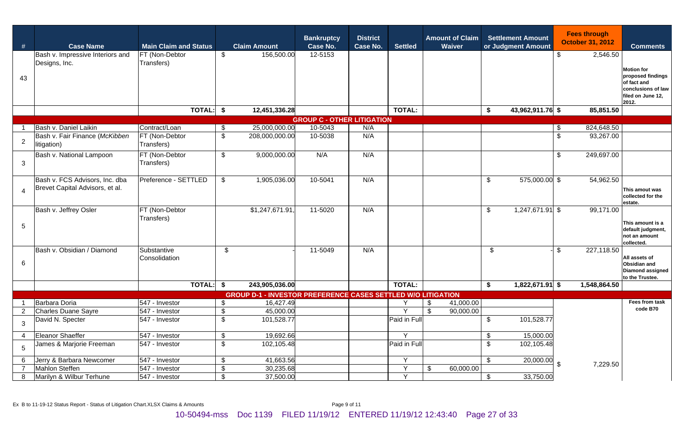| #              | <b>Case Name</b>                              | <b>Main Claim and Status</b> |                           | <b>Claim Amount</b>                                                              | <b>Bankruptcy</b><br>Case No.     | <b>District</b><br><b>Case No.</b> | <b>Settled</b> | <b>Amount of Claim</b><br>Waiver     |                | <b>Settlement Amount</b><br>or Judgment Amount |                | <b>Fees through</b><br><b>October 31, 2012</b> | <b>Comments</b>                                |
|----------------|-----------------------------------------------|------------------------------|---------------------------|----------------------------------------------------------------------------------|-----------------------------------|------------------------------------|----------------|--------------------------------------|----------------|------------------------------------------------|----------------|------------------------------------------------|------------------------------------------------|
|                | Bash v. Impressive Interiors and              | FT (Non-Debtor               | \$                        | 156,500.00                                                                       | 12-5153                           |                                    |                |                                      |                |                                                | $\frac{1}{2}$  | 2,546.50                                       |                                                |
|                | Designs, Inc.                                 | Transfers)                   |                           |                                                                                  |                                   |                                    |                |                                      |                |                                                |                |                                                | <b>Motion for</b>                              |
| 43             |                                               |                              |                           |                                                                                  |                                   |                                    |                |                                      |                |                                                |                |                                                | proposed findings<br>of fact and               |
|                |                                               |                              |                           |                                                                                  |                                   |                                    |                |                                      |                |                                                |                |                                                | conclusions of law                             |
|                |                                               |                              |                           |                                                                                  |                                   |                                    |                |                                      |                |                                                |                |                                                | filed on June 12,<br>2012.                     |
|                |                                               | TOTAL:                       |                           | 12,451,336.28                                                                    |                                   |                                    | <b>TOTAL:</b>  |                                      | \$             | $\overline{43,962,911.76}$ \$                  |                | 85,851.50                                      |                                                |
|                |                                               |                              |                           |                                                                                  | <b>GROUP C - OTHER LITIGATION</b> |                                    |                |                                      |                |                                                |                |                                                |                                                |
|                | Bash v. Daniel Laikin                         | Contract/Loan                | \$                        | 25,000,000.00                                                                    | 10-5043                           | N/A                                |                |                                      |                |                                                | -\$            | 824,648.50                                     |                                                |
| $\overline{2}$ | Bash v. Fair Finance (McKibben<br>litigation) | FT (Non-Debtor<br>Transfers) | $\mathfrak{S}$            | 208,000,000.00                                                                   | 10-5038                           | N/A                                |                |                                      |                |                                                | $\mathfrak{S}$ | 93,267.00                                      |                                                |
|                | Bash v. National Lampoon                      | FT (Non-Debtor               | $\sqrt[6]{2}$             | 9,000,000.00                                                                     | N/A                               | N/A                                |                |                                      |                |                                                | \$             | 249,697.00                                     |                                                |
| 3              |                                               | Transfers)                   |                           |                                                                                  |                                   |                                    |                |                                      |                |                                                |                |                                                |                                                |
|                | Bash v. FCS Advisors, Inc. dba                | Preference - SETTLED         | $\sqrt[6]{2}$             | 1,905,036.00                                                                     | 10-5041                           | N/A                                |                |                                      | $\sqrt[6]{2}$  | 575,000.00 \$                                  |                | 54,962.50                                      |                                                |
| $\overline{4}$ | Brevet Capital Advisors, et al.               |                              |                           |                                                                                  |                                   |                                    |                |                                      |                |                                                |                |                                                | This amout was                                 |
|                |                                               |                              |                           |                                                                                  |                                   |                                    |                |                                      |                |                                                |                |                                                | collected for the                              |
|                | Bash v. Jeffrey Osler                         | FT (Non-Debtor               |                           | \$1,247,671.91,                                                                  | 11-5020                           | N/A                                |                |                                      | $\mathfrak{S}$ | $1,247,671.91$ \$                              |                | 99,171.00                                      | estate.                                        |
|                |                                               | Transfers)                   |                           |                                                                                  |                                   |                                    |                |                                      |                |                                                |                |                                                |                                                |
| $\sqrt{5}$     |                                               |                              |                           |                                                                                  |                                   |                                    |                |                                      |                |                                                |                |                                                | This amount is a<br>default judgment,          |
|                |                                               |                              |                           |                                                                                  |                                   |                                    |                |                                      |                |                                                |                |                                                | not an amount<br>collected.                    |
|                | Bash v. Obsidian / Diamond                    | Substantive                  | $\$\$                     |                                                                                  | 11-5049                           | N/A                                |                |                                      | \$             |                                                | $\mathfrak{S}$ | 227,118.50                                     |                                                |
| 6              |                                               | Consolidation                |                           |                                                                                  |                                   |                                    |                |                                      |                |                                                |                |                                                | All assets of                                  |
|                |                                               |                              |                           |                                                                                  |                                   |                                    |                |                                      |                |                                                |                |                                                | <b>Obsidian and</b><br><b>Diamond assigned</b> |
|                |                                               |                              |                           |                                                                                  |                                   |                                    |                |                                      |                |                                                |                |                                                | to the Trustee.                                |
|                |                                               | <b>TOTAL:</b>                | \$                        | 243,905,036.00                                                                   |                                   |                                    | <b>TOTAL:</b>  |                                      | \$             | $1,822,671.91$ \$                              |                | 1,548,864.50                                   |                                                |
|                | Barbara Doria                                 | 547 - Investor               | \$                        | <b>GROUP D-1 - INVESTOR PREFERENCE CASES SETTLED W/O LITIGATION</b><br>16,427.49 |                                   |                                    |                | 41,000.00<br>\$                      |                |                                                |                |                                                | Fees from task                                 |
| $2^{\circ}$    | Charles Duane Sayre                           | 547 - Investor               | $\mathfrak{F}$            | 45,000.00                                                                        |                                   |                                    | $\vee$         | $\overline{\mathbb{S}}$<br>90,000.00 |                |                                                |                |                                                | code B70                                       |
| 3              | David N. Specter                              | 547 - Investor               | $\mathfrak{S}$            | 101,528.77                                                                       |                                   |                                    | Paid in Full   |                                      | $\mathfrak{L}$ | 101,528.77                                     |                |                                                |                                                |
|                |                                               |                              |                           |                                                                                  |                                   |                                    |                |                                      |                |                                                |                |                                                |                                                |
| 4              | Eleanor Shaeffer                              | 547 - Investor               | $\sqrt[6]{\frac{1}{2}}$   | 19,692.66                                                                        |                                   |                                    | Y              |                                      | $\mathfrak{P}$ | 15,000.00                                      |                |                                                |                                                |
| 5              | James & Marjorie Freeman                      | 547 - Investor               | $\overline{\mathbf{3}}$   | 102,105.48                                                                       |                                   |                                    | Paid in Full   |                                      | \$             | 102,105.48                                     |                |                                                |                                                |
| 6              | Jerry & Barbara Newcomer                      | 547 - Investor               | $\sqrt{2}$                | 41,663.56                                                                        |                                   |                                    | Y              |                                      | $\mathfrak{S}$ | 20,000.00                                      | $\mathfrak{S}$ | 7,229.50                                       |                                                |
| $\overline{7}$ | Mahlon Steffen                                | 547 - Investor               | $\mathfrak{F}$            | 30,235.68                                                                        |                                   |                                    | Y              | \$<br>60,000.00                      |                |                                                |                |                                                |                                                |
| 8              | Marilyn & Wilbur Terhune                      | 547 - Investor               | $\boldsymbol{\mathsf{s}}$ | 37,500.00                                                                        |                                   |                                    | Y              |                                      | $\mathfrak{L}$ | 33,750.00                                      |                |                                                |                                                |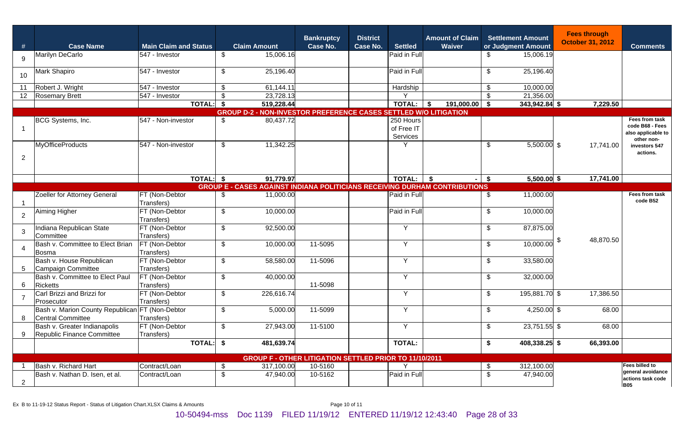| #              | <b>Case Name</b>                                                     | <b>Main Claim and Status</b> | <b>Claim Amount</b>                                                               | <b>Bankruptcy</b><br><b>Case No.</b> | <b>District</b><br>Case No. | <b>Settled</b>                        | <b>Amount of Claim</b><br>Waiver |                           | <b>Settlement Amount</b><br>or Judgment Amount | <b>Fees through</b><br><b>October 31, 2012</b> | <b>Comments</b>                                                       |
|----------------|----------------------------------------------------------------------|------------------------------|-----------------------------------------------------------------------------------|--------------------------------------|-----------------------------|---------------------------------------|----------------------------------|---------------------------|------------------------------------------------|------------------------------------------------|-----------------------------------------------------------------------|
| 9              | Marilyn DeCarlo                                                      | 547 - Investor               | 15,006.16<br>$\sqrt[6]{2}$                                                        |                                      |                             | Paid in Full                          |                                  | \$                        | 15,006.19                                      |                                                |                                                                       |
| 10             | Mark Shapiro                                                         | 547 - Investor               | 25,196.40<br>$\sqrt[6]{2}$                                                        |                                      |                             | Paid in Full                          |                                  | $\sqrt[6]{2}$             | 25,196.40                                      |                                                |                                                                       |
| 11             | Robert J. Wright                                                     | 547 - Investor               | 61,144.11<br>\$                                                                   |                                      |                             | Hardship                              |                                  | \$                        | 10,000.00                                      |                                                |                                                                       |
| 12             | <b>Rosemary Brett</b>                                                | 547 - Investor               | $\boldsymbol{\mathsf{S}}$<br>23,728.13                                            |                                      |                             | $\checkmark$                          |                                  | \$                        | 21,356.00                                      |                                                |                                                                       |
|                |                                                                      | TOTAL: \$                    | 519,228.44                                                                        |                                      |                             | <b>TOTAL:</b>                         | $\vert$ \$<br>191,000.00         | \$                        | 343,942.84 \$                                  | 7,229.50                                       |                                                                       |
|                |                                                                      |                              | <b>GROUP D-2 - NON-INVESTOR PREFERENCE CASES SETTLED W/O LITIGATION</b>           |                                      |                             |                                       |                                  |                           |                                                |                                                |                                                                       |
|                | BCG Systems, Inc.                                                    | 547 - Non-investor           | 80,437.72<br>\$                                                                   |                                      |                             | $250$ Hours<br>of Free IT<br>Services |                                  |                           |                                                |                                                | Fees from task<br>code B68 - Fees<br>also applicable to<br>other non- |
| 2              | <b>MyOfficeProducts</b>                                              | 547 - Non-investor           | 11,342.25<br>\$                                                                   |                                      |                             | Υ                                     |                                  | $\sqrt[6]{2}$             | $5,500.00$ \$                                  | 17,741.00                                      | investors 547<br>actions.                                             |
|                |                                                                      |                              |                                                                                   |                                      |                             |                                       |                                  |                           |                                                |                                                |                                                                       |
|                |                                                                      | TOTAL: \$                    | 91,779.97                                                                         |                                      |                             | TOTAL: $\vert \$$                     | - 1                              | \$                        | $5,500.00$ \$                                  | 17,741.00                                      |                                                                       |
|                |                                                                      |                              | <b>GROUP E - CASES AGAINST INDIANA POLITICIANS RECEIVING DURHAM CONTRIBUTIONS</b> |                                      |                             |                                       |                                  |                           |                                                |                                                |                                                                       |
|                | Zoeller for Attorney General                                         | FT (Non-Debtor<br>Transfers) | $11,000.\overline{00}$<br>\$                                                      |                                      |                             | Paid in Full                          |                                  | \$                        | 11,000.00                                      |                                                | Fees from task<br>code B52                                            |
| $\overline{2}$ | Aiming Higher                                                        | FT (Non-Debtor<br>Transfers) | 10,000.00<br>$\sqrt[6]{2}$                                                        |                                      |                             | Paid in Full                          |                                  | $\sqrt[6]{2}$             | 10,000.00                                      |                                                |                                                                       |
| 3              | Indiana Republican State<br>Committee                                | FT (Non-Debtor<br>Transfers) | 92,500.00<br>$\sqrt[6]{2}$                                                        |                                      |                             | Y                                     |                                  | \$                        | 87,875.00                                      |                                                |                                                                       |
| 4              | Bash v. Committee to Elect Brian<br>Bosma                            | FT (Non-Debtor<br>Transfers) | 10,000.00<br>$\sqrt[6]{2}$                                                        | 11-5095                              |                             | Y                                     |                                  | \$                        | 10,000.00                                      | 48,870.50                                      |                                                                       |
| 5              | Bash v. House Republican<br>Campaign Committee                       | FT (Non-Debtor<br>Transfers) | 58,580.00<br>$\sqrt[6]{2}$                                                        | 11-5096                              |                             | Y                                     |                                  | \$                        | 33,580.00                                      |                                                |                                                                       |
| 6              | Bash v. Committee to Elect Paul<br><b>Ricketts</b>                   | FT (Non-Debtor<br>Transfers) | 40,000.00<br>$\boldsymbol{\mathsf{S}}$                                            | 11-5098                              |                             | Y                                     |                                  | \$                        | 32,000.00                                      |                                                |                                                                       |
| 7              | Carl Brizzi and Brizzi for<br>Prosecutor                             | FT (Non-Debtor<br>Transfers) | $\boldsymbol{\mathsf{S}}$<br>226,616.74                                           |                                      |                             | Y                                     |                                  | $\boldsymbol{\mathsf{S}}$ | 195,881.70 \$                                  | 17,386.50                                      |                                                                       |
| 8              | Bash v. Marion County Republican FT (Non-Debtor<br>Central Committee | Transfers)                   | $\sqrt[6]{2}$<br>5,000.00                                                         | 11-5099                              |                             | Y                                     |                                  | \$                        | 4,250.00 \$                                    | 68.00                                          |                                                                       |
| 9              | Bash v. Greater Indianapolis<br>Republic Finance Committee           | FT (Non-Debtor<br>Transfers) | \$<br>27,943.00                                                                   | 11-5100                              |                             | Y                                     |                                  | \$                        | 23,751.55 \$                                   | 68.00                                          |                                                                       |
|                |                                                                      | <b>TOTAL:</b>                | 481,639.74<br>\$                                                                  |                                      |                             | <b>TOTAL:</b>                         |                                  | \$                        | 408,338.25 \$                                  | 66,393.00                                      |                                                                       |
|                |                                                                      |                              | <b>GROUP F - OTHER LITIGATION SETTLED PRIOR TO 11/10/2011</b>                     |                                      |                             |                                       |                                  |                           |                                                |                                                |                                                                       |
|                | Bash v. Richard Hart                                                 | Contract/Loan                | 317,100.00<br>\$                                                                  | 10-5160                              |                             | Y                                     |                                  | \$                        | 312,100.00                                     |                                                | Fees billed to                                                        |
| 2              | Bash v. Nathan D. Isen, et al.                                       | Contract/Loan                | $\sqrt[6]{2}$<br>47,940.00                                                        | 10-5162                              |                             | Paid in Full                          |                                  | $\sqrt[6]{2}$             | 47,940.00                                      |                                                | general avoidance<br>actions task code<br><b>B05</b>                  |

Ex B to 11-19-12 Status Report - Status of Litigation Chart.XLSX Claims & Amounts Page 10 of 11

10-50494-mss Doc 1139 FILED 11/19/12 ENTERED 11/19/12 12:43:40 Page 28 of 33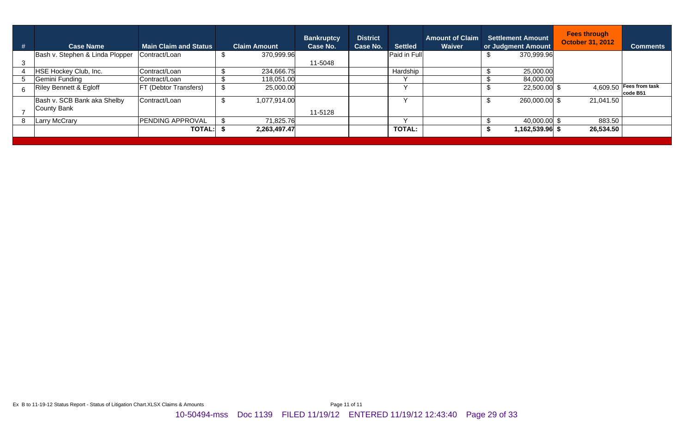| # | <b>Case Name</b>                | <b>Main Claim and Status</b> | <b>Claim Amount</b> | <b>Bankruptcy</b><br>Case No. | <b>District</b><br>Case No. | <b>Settled</b> | <b>Amount of Claim</b><br><b>Waiver</b> |      | <b>Settlement Amount</b><br>or Judgment Amount | <b>Fees through</b><br><b>October 31, 2012</b> | <b>Comments</b>                       |
|---|---------------------------------|------------------------------|---------------------|-------------------------------|-----------------------------|----------------|-----------------------------------------|------|------------------------------------------------|------------------------------------------------|---------------------------------------|
|   | Bash v. Stephen & Linda Plopper | Contract/Loan                | 370,999.96          |                               |                             | Paid in Full   |                                         |      | 370,999.96                                     |                                                |                                       |
|   |                                 |                              |                     | 11-5048                       |                             |                |                                         |      |                                                |                                                |                                       |
|   | HSE Hockey Club, Inc.           | Contract/Loan                | 234,666.75          |                               |                             | Hardship       |                                         |      | 25,000.00                                      |                                                |                                       |
|   | Gemini Funding                  | Contract/Loan                | 118,051.00          |                               |                             |                |                                         |      | 84,000.00                                      |                                                |                                       |
|   | Riley Bennett & Egloff          | <b>FT (Debtor Transfers)</b> | 25,000.00           |                               |                             |                |                                         |      | 22,500.00 \$                                   |                                                | $4,609.50$ Fees from task<br>code B51 |
|   | Bash v. SCB Bank aka Shelby     | Contract/Loan                | 1,077,914.00        |                               |                             |                |                                         | - 10 | 260,000.00 \$                                  | 21,041.50                                      |                                       |
|   | County Bank                     |                              |                     | 11-5128                       |                             |                |                                         |      |                                                |                                                |                                       |
| 8 | <b>Larry McCrary</b>            | <b>PENDING APPROVAL</b>      | 71,825.76           |                               |                             | $\checkmark$   |                                         |      | 40,000.00 \$                                   | 883.50                                         |                                       |
|   |                                 | <b>TOTAL:</b>                | 2,263,497.47        |                               |                             | <b>TOTAL:</b>  |                                         |      | 1,162,539.96 \$                                | 26,534.50                                      |                                       |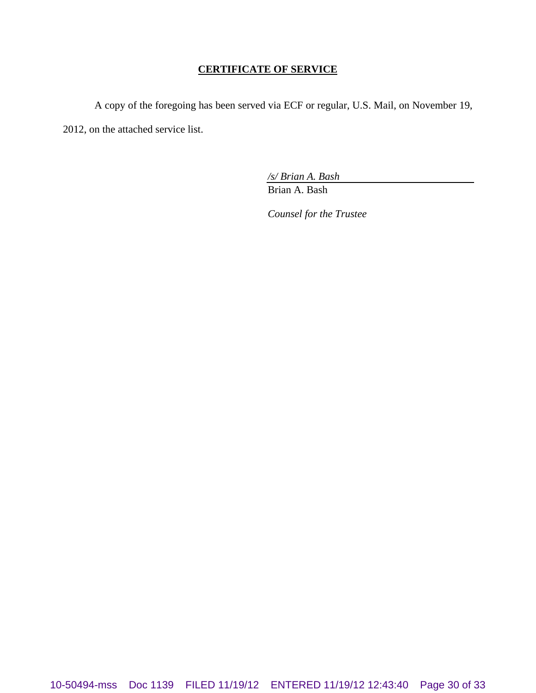### **CERTIFICATE OF SERVICE**

A copy of the foregoing has been served via ECF or regular, U.S. Mail, on November 19, 2012, on the attached service list.

*/s/ Brian A. Bash*

Brian A. Bash

*Counsel for the Trustee*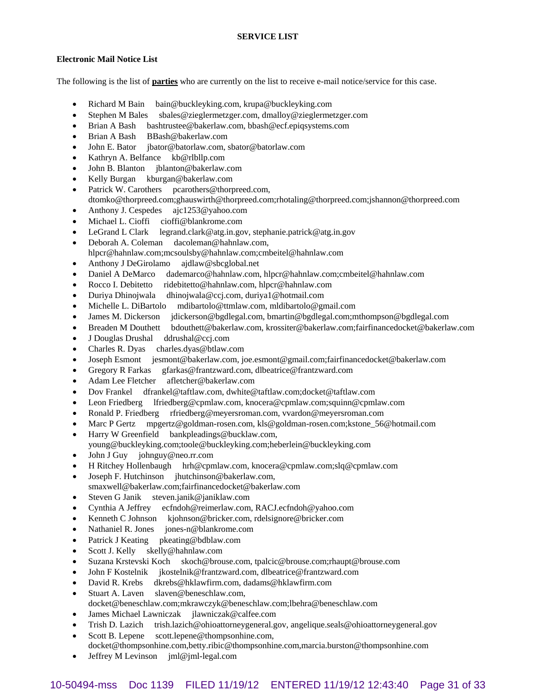#### **Electronic Mail Notice List**

The following is the list of **parties** who are currently on the list to receive e-mail notice/service for this case.

- Richard M Bain bain@buckleyking.com, krupa@buckleyking.com
- Stephen M Bales sbales@zieglermetzger.com, dmalloy@zieglermetzger.com
- Brian A Bash bashtrustee@bakerlaw.com, bbash@ecf.epiqsystems.com
- Brian A Bash BBash@bakerlaw.com
- John E. Bator jbator@batorlaw.com, sbator@batorlaw.com
- Kathryn A. Belfance kb@rlbllp.com
- John B. Blanton jblanton@bakerlaw.com
- Kelly Burgan kburgan@bakerlaw.com
- Patrick W. Carothers pcarothers@thorpreed.com,
- dtomko@thorpreed.com;ghauswirth@thorpreed.com;rhotaling@thorpreed.com;jshannon@thorpreed.com
- Anthony J. Cespedes ajc1253@yahoo.com
- Michael L. Cioffi cioffi@blankrome.com
- LeGrand L Clark legrand.clark@atg.in.gov, stephanie.patrick@atg.in.gov
- Deborah A. Coleman dacoleman@hahnlaw.com, hlpcr@hahnlaw.com;mcsoulsby@hahnlaw.com;cmbeitel@hahnlaw.com
- Anthony J DeGirolamo ajdlaw@sbcglobal.net
- Daniel A DeMarco dademarco@hahnlaw.com, hlpcr@hahnlaw.com;cmbeitel@hahnlaw.com
- Rocco I. Debitetto ridebitetto@hahnlaw.com, hlpcr@hahnlaw.com
- Duriya Dhinojwala dhinojwala@ccj.com, duriya1@hotmail.com
- Michelle L. DiBartolo mdibartolo@ttmlaw.com, mldibartolo@gmail.com
- James M. Dickerson jdickerson@bgdlegal.com, bmartin@bgdlegal.com;mthompson@bgdlegal.com
- Breaden M Douthett bdouthett@bakerlaw.com, krossiter@bakerlaw.com;fairfinancedocket@bakerlaw.com
- J Douglas Drushal ddrushal@ccj.com
- Charles R. Dyas charles.dyas@btlaw.com
- Joseph Esmont jesmont@bakerlaw.com, joe.esmont@gmail.com;fairfinancedocket@bakerlaw.com
- Gregory R Farkas gfarkas@frantzward.com, dlbeatrice@frantzward.com
- Adam Lee Fletcher afletcher@bakerlaw.com
- Dov Frankel dfrankel@taftlaw.com, dwhite@taftlaw.com;docket@taftlaw.com
- Leon Friedberg lfriedberg@cpmlaw.com, knocera@cpmlaw.com;squinn@cpmlaw.com
- Ronald P. Friedberg rfriedberg@meyersroman.com, vvardon@meyersroman.com
- Marc P Gertz mpgertz@goldman-rosen.com, kls@goldman-rosen.com;kstone\_56@hotmail.com
- Harry W Greenfield bankpleadings@bucklaw.com,
- young@buckleyking.com;toole@buckleyking.com;heberlein@buckleyking.com
- John J Guy johnguy@neo.rr.com
- H Ritchey Hollenbaugh hrh@cpmlaw.com, knocera@cpmlaw.com;slq@cpmlaw.com
- Joseph F. Hutchinson jhutchinson@bakerlaw.com,
- smaxwell@bakerlaw.com;fairfinancedocket@bakerlaw.com
- Steven G Janik steven.janik@janiklaw.com
- Cynthia A Jeffrey ecfndoh@reimerlaw.com, RACJ.ecfndoh@yahoo.com
- Kenneth C Johnson kjohnson@bricker.com, rdelsignore@bricker.com
- Nathaniel R. Jones jones-n@blankrome.com
- Patrick J Keating pkeating@bdblaw.com
- Scott J. Kelly skelly@hahnlaw.com
- Suzana Krstevski Koch skoch@brouse.com, tpalcic@brouse.com;rhaupt@brouse.com
- John F Kostelnik jkostelnik@frantzward.com, dlbeatrice@frantzward.com
- David R. Krebs dkrebs@hklawfirm.com, dadams@hklawfirm.com
- Stuart A. Laven slaven@beneschlaw.com, docket@beneschlaw.com;mkrawczyk@beneschlaw.com;lbehra@beneschlaw.com
- James Michael Lawniczak jlawniczak@calfee.com
- Trish D. Lazich trish.lazich@ohioattorneygeneral.gov, angelique.seals@ohioattorneygeneral.gov
- Scott B. Lepene scott.lepene@thompsonhine.com, docket@thompsonhine.com,betty.ribic@thompsonhine.com,marcia.burston@thompsonhine.com
- Jeffrey M Levinson jml@jml-legal.com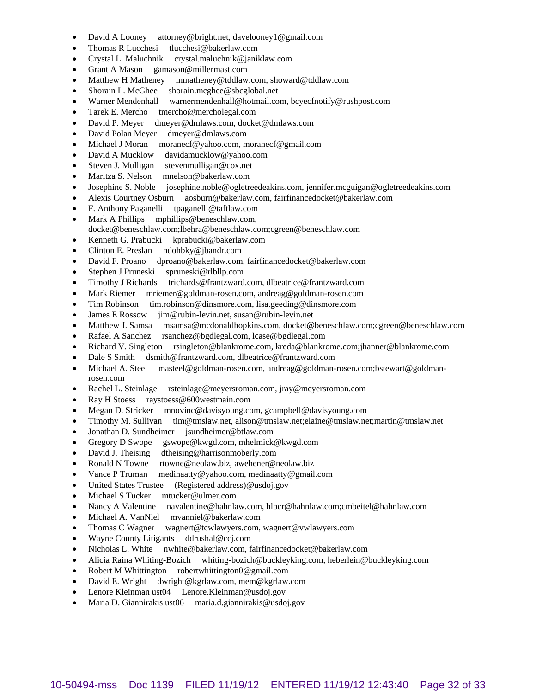- David A Looney attorney@bright.net, davelooney1@gmail.com
- Thomas R Lucchesi tlucchesi@bakerlaw.com
- Crystal L. Maluchnik crystal.maluchnik@janiklaw.com
- Grant A Mason gamason@millermast.com
- Matthew H Matheney mmatheney@tddlaw.com, showard@tddlaw.com
- Shorain L. McGhee shorain.mcghee@sbcglobal.net
- Warner Mendenhall warnermendenhall@hotmail.com, bcyecfnotify@rushpost.com
- Tarek E. Mercho tmercho@mercholegal.com
- David P. Meyer dmeyer@dmlaws.com, docket@dmlaws.com
- David Polan Meyer dmeyer@dmlaws.com
- Michael J Moran moranecf@yahoo.com, moranecf@gmail.com
- David A Mucklow davidamucklow@yahoo.com
- Steven J. Mulligan stevenmulligan@cox.net
- Maritza S. Nelson mnelson@bakerlaw.com
- Josephine S. Noble josephine.noble@ogletreedeakins.com, jennifer.mcguigan@ogletreedeakins.com
- Alexis Courtney Osburn aosburn@bakerlaw.com, fairfinancedocket@bakerlaw.com
- F. Anthony Paganelli tpaganelli@taftlaw.com
- Mark A Phillips mphillips@beneschlaw.com, docket@beneschlaw.com;lbehra@beneschlaw.com;cgreen@beneschlaw.com
- Kenneth G. Prabucki kprabucki@bakerlaw.com
- Clinton E. Preslan ndohbky@jbandr.com
- David F. Proano dproano@bakerlaw.com, fairfinancedocket@bakerlaw.com
- Stephen J Pruneski spruneski@rlbllp.com
- Timothy J Richards trichards@frantzward.com, dlbeatrice@frantzward.com
- Mark Riemer mriemer@goldman-rosen.com, andreag@goldman-rosen.com
- Tim Robinson tim.robinson@dinsmore.com, lisa.geeding@dinsmore.com
- James E Rossow jim@rubin-levin.net, susan@rubin-levin.net
- Matthew J. Samsa msamsa@mcdonaldhopkins.com, docket@beneschlaw.com;cgreen@beneschlaw.com
- Rafael A Sanchez rsanchez@bgdlegal.com, lcase@bgdlegal.com
- Richard V. Singleton rsingleton@blankrome.com, kreda@blankrome.com;jhanner@blankrome.com
- Dale S Smith dsmith@frantzward.com, dlbeatrice@frantzward.com
- Michael A. Steel masteel@goldman-rosen.com, andreag@goldman-rosen.com;bstewart@goldmanrosen.com
- Rachel L. Steinlage rsteinlage@meyersroman.com, jray@meyersroman.com
- Ray H Stoess raystoess@600westmain.com
- Megan D. Stricker mnovinc@davisyoung.com, gcampbell@davisyoung.com
- Timothy M. Sullivan tim@tmslaw.net, alison@tmslaw.net;elaine@tmslaw.net;martin@tmslaw.net
- Jonathan D. Sundheimer jsundheimer@btlaw.com
- Gregory D Swope gswope@kwgd.com, mhelmick@kwgd.com
- David J. Theising dtheising@harrisonmoberly.com
- Ronald N Towne rtowne@neolaw.biz, awehener@neolaw.biz
- Vance P Truman medinaatty@yahoo.com, medinaatty@gmail.com
- United States Trustee (Registered address)@usdoj.gov
- Michael S Tucker mtucker@ulmer.com
- Nancy A Valentine navalentine@hahnlaw.com, hlpcr@hahnlaw.com;cmbeitel@hahnlaw.com
- Michael A. VanNiel mvanniel@bakerlaw.com
- Thomas C Wagner wagnert@tcwlawyers.com, wagnert@vwlawyers.com
- Wayne County Litigants ddrushal@ccj.com
- Nicholas L. White nwhite@bakerlaw.com, fairfinancedocket@bakerlaw.com
- Alicia Raina Whiting-Bozich whiting-bozich@buckleyking.com, heberlein@buckleyking.com
- Robert M Whittington robertwhittington0@gmail.com
- David E. Wright dwright@kgrlaw.com, mem@kgrlaw.com
- Lenore Kleinman ust04 Lenore.Kleinman@usdoj.gov
- Maria D. Giannirakis ust06 maria.d.giannirakis@usdoj.gov